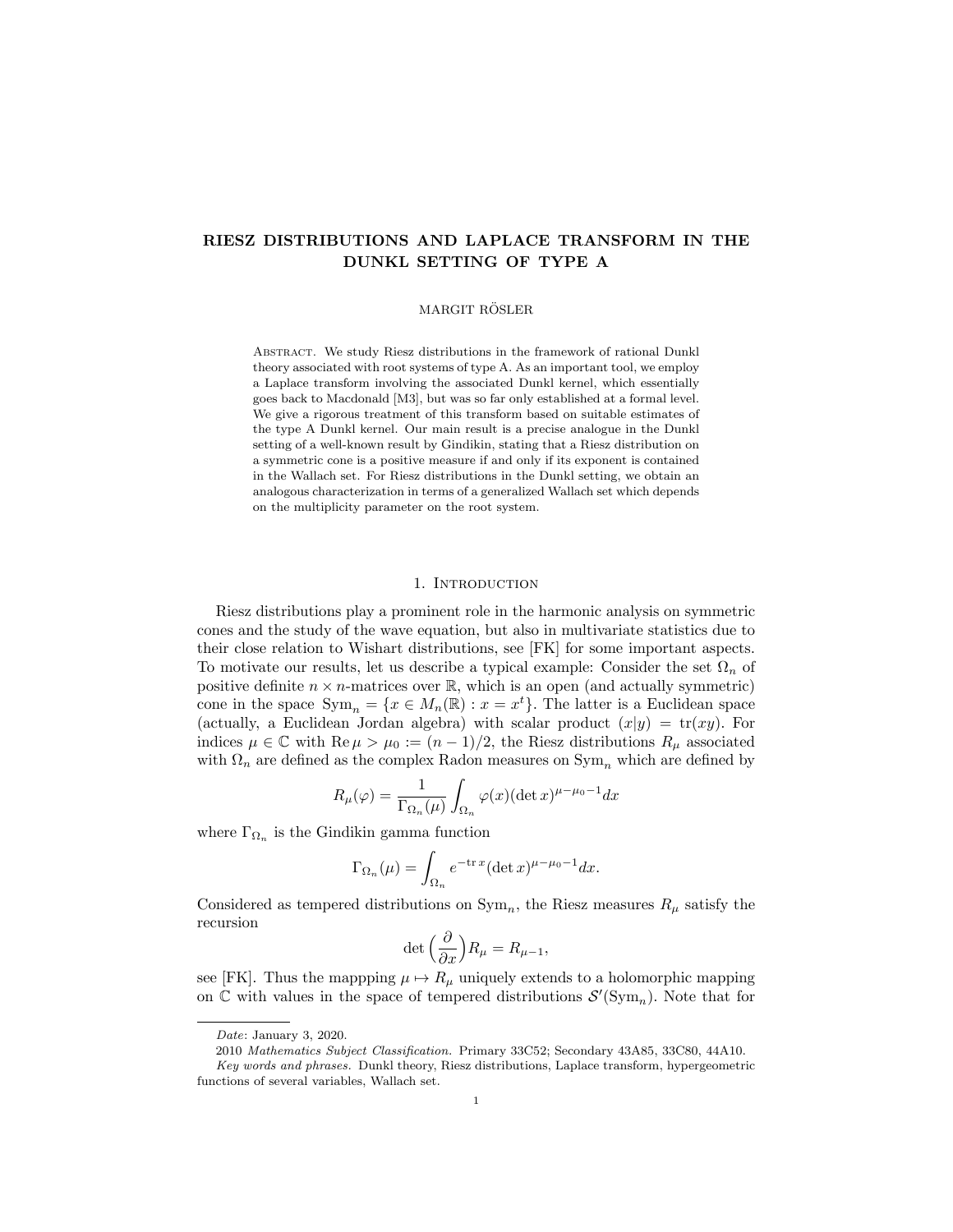# RIESZ DISTRIBUTIONS AND LAPLACE TRANSFORM IN THE DUNKL SETTING OF TYPE A

#### MARGIT RÖSLER

ABSTRACT. We study Riesz distributions in the framework of rational Dunkl theory associated with root systems of type A. As an important tool, we employ a Laplace transform involving the associated Dunkl kernel, which essentially goes back to Macdonald [M3], but was so far only established at a formal level. We give a rigorous treatment of this transform based on suitable estimates of the type A Dunkl kernel. Our main result is a precise analogue in the Dunkl setting of a well-known result by Gindikin, stating that a Riesz distribution on a symmetric cone is a positive measure if and only if its exponent is contained in the Wallach set. For Riesz distributions in the Dunkl setting, we obtain an analogous characterization in terms of a generalized Wallach set which depends on the multiplicity parameter on the root system.

## 1. Introduction

Riesz distributions play a prominent role in the harmonic analysis on symmetric cones and the study of the wave equation, but also in multivariate statistics due to their close relation to Wishart distributions, see [FK] for some important aspects. To motivate our results, let us describe a typical example: Consider the set Ω*<sup>n</sup>* of positive definite  $n \times n$ -matrices over  $\mathbb{R}$ , which is an open (and actually symmetric) cone in the space  $\text{Sym}_n = \{x \in M_n(\mathbb{R}) : x = x^t\}$ . The latter is a Euclidean space (actually, a Euclidean Jordan algebra) with scalar product  $(x|y) = \text{tr}(xy)$ . For indices  $\mu \in \mathbb{C}$  with Re  $\mu > \mu_0 := (n-1)/2$ , the Riesz distributions  $R_\mu$  associated with  $\Omega_n$  are defined as the complex Radon measures on  $\text{Sym}_n$  which are defined by

$$
R_{\mu}(\varphi) = \frac{1}{\Gamma_{\Omega_n}(\mu)} \int_{\Omega_n} \varphi(x) (\det x)^{\mu - \mu_0 - 1} dx
$$

where  $\Gamma_{\Omega_n}$  is the Gindikin gamma function

$$
\Gamma_{\Omega_n}(\mu) = \int_{\Omega_n} e^{-\text{tr} x} (\det x)^{\mu - \mu_0 - 1} dx.
$$

Considered as tempered distributions on  $Sym_n$ , the Riesz measures  $R_\mu$  satisfy the recursion

$$
\det\left(\frac{\partial}{\partial x}\right)R_{\mu} = R_{\mu-1},
$$

see [FK]. Thus the mapping  $\mu \mapsto R_{\mu}$  uniquely extends to a holomorphic mapping on  $\mathbb C$  with values in the space of tempered distributions  $\mathcal S'(\mathrm{Sym}_n)$ . Note that for

*Date*: January 3, 2020.

<sup>2010</sup> *Mathematics Subject Classification.* Primary 33C52; Secondary 43A85, 33C80, 44A10.

*Key words and phrases.* Dunkl theory, Riesz distributions, Laplace transform, hypergeometric functions of several variables, Wallach set.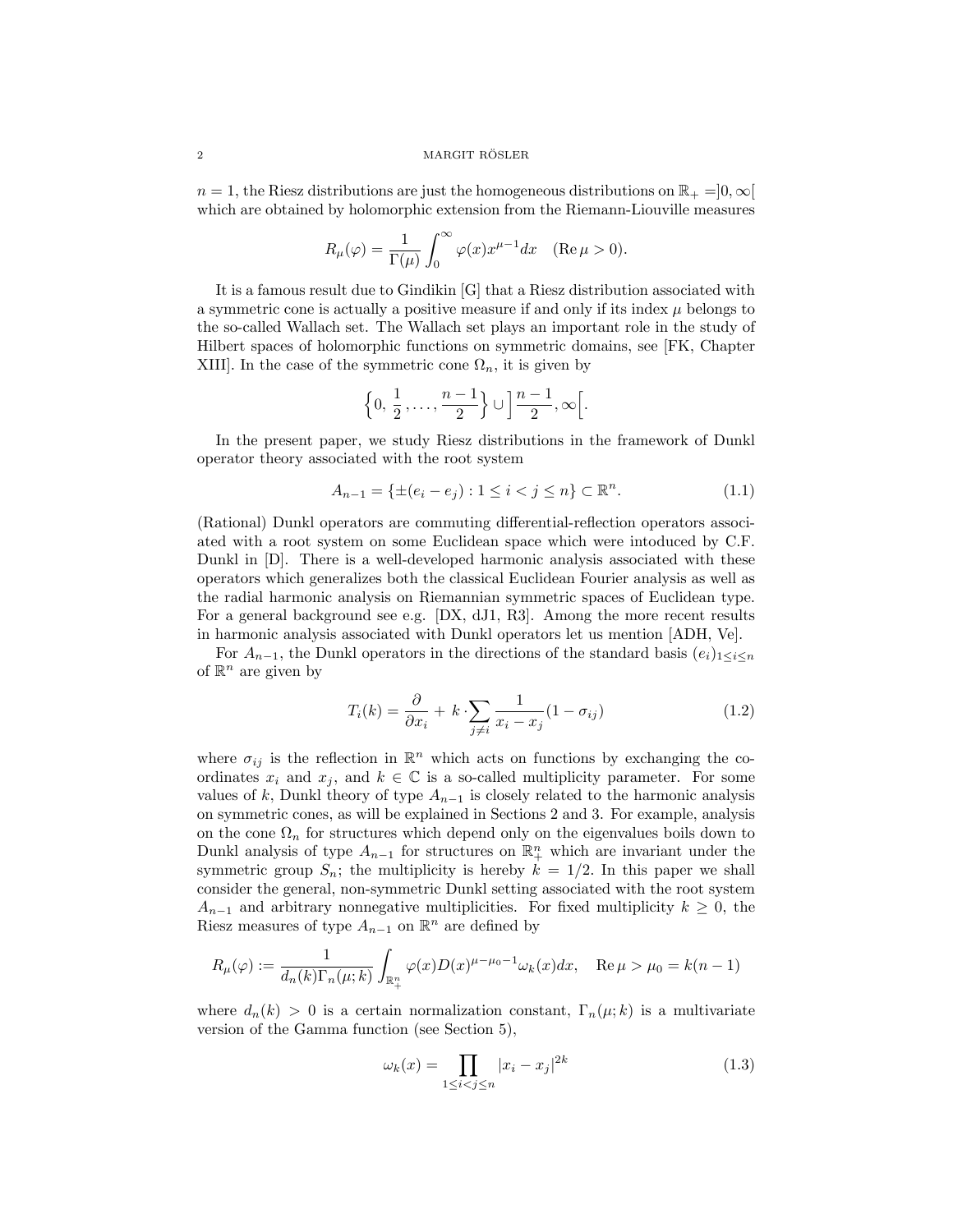$n = 1$ , the Riesz distributions are just the homogeneous distributions on  $\mathbb{R}_+ = ]0, \infty[$ which are obtained by holomorphic extension from the Riemann-Liouville measures

$$
R_{\mu}(\varphi) = \frac{1}{\Gamma(\mu)} \int_0^{\infty} \varphi(x) x^{\mu - 1} dx \quad (\text{Re}\,\mu > 0).
$$

It is a famous result due to Gindikin [G] that a Riesz distribution associated with a symmetric cone is actually a positive measure if and only if its index  $\mu$  belongs to the so-called Wallach set. The Wallach set plays an important role in the study of Hilbert spaces of holomorphic functions on symmetric domains, see [FK, Chapter XIII]. In the case of the symmetric cone  $\Omega_n$ , it is given by

$$
\left\{0, \frac{1}{2}, \ldots, \frac{n-1}{2}\right\} \cup \left\lfloor \frac{n-1}{2}, \infty \right\rfloor.
$$

In the present paper, we study Riesz distributions in the framework of Dunkl operator theory associated with the root system

$$
A_{n-1} = \{ \pm (e_i - e_j) : 1 \le i < j \le n \} \subset \mathbb{R}^n.
$$
 (1.1)

(Rational) Dunkl operators are commuting differential-reflection operators associated with a root system on some Euclidean space which were intoduced by C.F. Dunkl in [D]. There is a well-developed harmonic analysis associated with these operators which generalizes both the classical Euclidean Fourier analysis as well as the radial harmonic analysis on Riemannian symmetric spaces of Euclidean type. For a general background see e.g. [DX, dJ1, R3]. Among the more recent results in harmonic analysis associated with Dunkl operators let us mention [ADH, Ve].

For  $A_{n-1}$ , the Dunkl operators in the directions of the standard basis  $(e_i)_{1 \leq i \leq n}$ of  $\mathbb{R}^n$  are given by

$$
T_i(k) = \frac{\partial}{\partial x_i} + k \cdot \sum_{j \neq i} \frac{1}{x_i - x_j} (1 - \sigma_{ij})
$$
\n(1.2)

where  $\sigma_{ij}$  is the reflection in  $\mathbb{R}^n$  which acts on functions by exchanging the coordinates  $x_i$  and  $x_j$ , and  $k \in \mathbb{C}$  is a so-called multiplicity parameter. For some values of  $k$ , Dunkl theory of type  $A_{n-1}$  is closely related to the harmonic analysis on symmetric cones, as will be explained in Sections 2 and 3. For example, analysis on the cone  $\Omega_n$  for structures which depend only on the eigenvalues boils down to Dunkl analysis of type  $A_{n-1}$  for structures on  $\mathbb{R}^n_+$  which are invariant under the symmetric group  $S_n$ ; the multiplicity is hereby  $k = 1/2$ . In this paper we shall consider the general, non-symmetric Dunkl setting associated with the root system  $A_{n-1}$  and arbitrary nonnegative multiplicities. For fixed multiplicity  $k \geq 0$ , the Riesz measures of type  $A_{n-1}$  on  $\mathbb{R}^n$  are defined by

$$
R_{\mu}(\varphi) := \frac{1}{d_n(k)\Gamma_n(\mu;k)} \int_{\mathbb{R}^n_+} \varphi(x) D(x)^{\mu-\mu_0-1} \omega_k(x) dx, \quad \text{Re}\,\mu > \mu_0 = k(n-1)
$$

where  $d_n(k) > 0$  is a certain normalization constant,  $\Gamma_n(\mu;k)$  is a multivariate version of the Gamma function (see Section 5),

$$
\omega_k(x) = \prod_{1 \le i < j \le n} |x_i - x_j|^{2k} \tag{1.3}
$$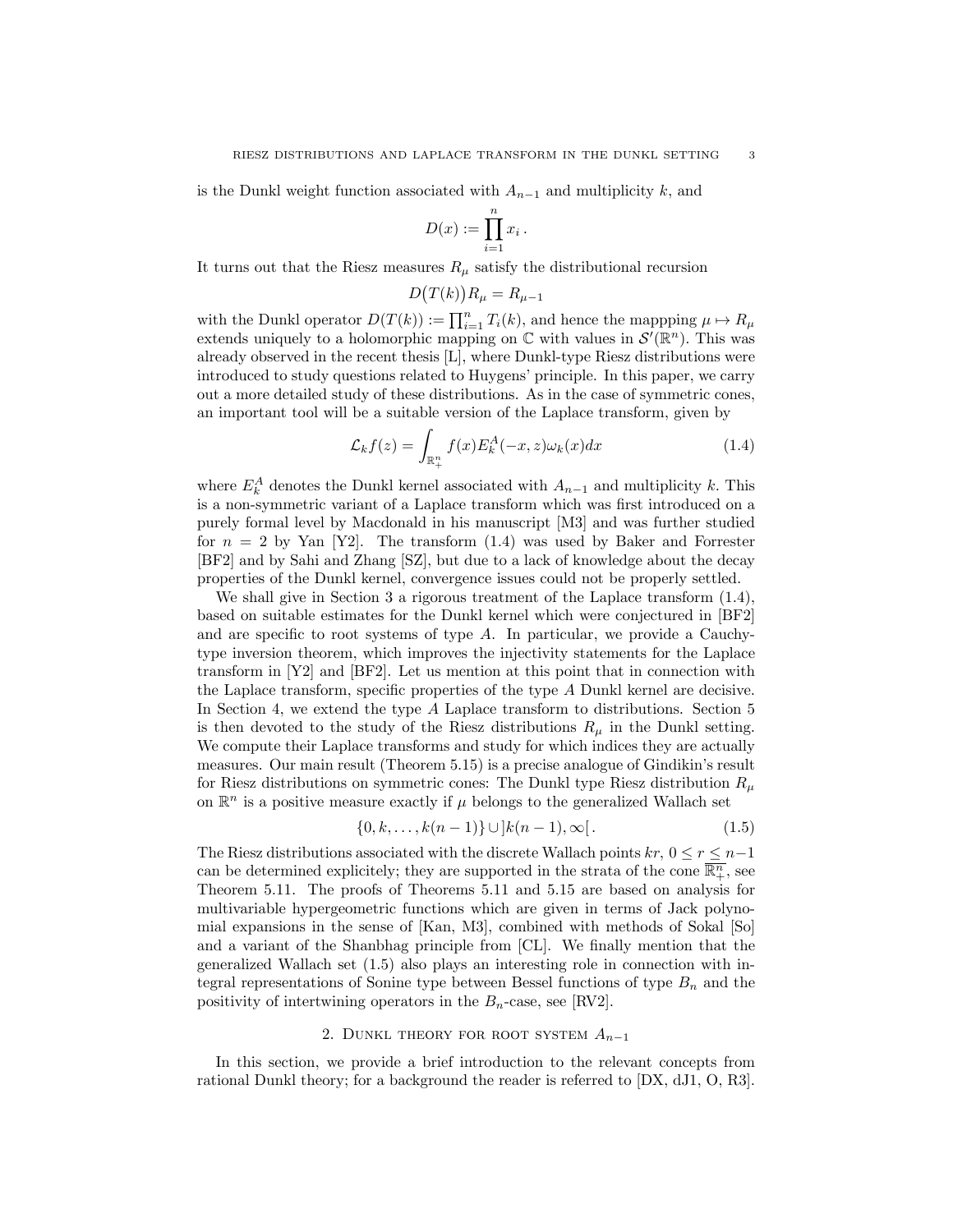is the Dunkl weight function associated with  $A_{n-1}$  and multiplicity  $k$ , and

$$
D(x) := \prod_{i=1}^n x_i \, .
$$

It turns out that the Riesz measures  $R_\mu$  satisfy the distributional recursion

$$
D\big(T(k)\big)R_{\mu}=R_{\mu-1}
$$

with the Dunkl operator  $D(T(k)) := \prod_{i=1}^{n} T_i(k)$ , and hence the mappping  $\mu \mapsto R_{\mu}$ extends uniquely to a holomorphic mapping on  $\mathbb C$  with values in  $\mathcal S'(\mathbb R^n)$ . This was already observed in the recent thesis [L], where Dunkl-type Riesz distributions were introduced to study questions related to Huygens' principle. In this paper, we carry out a more detailed study of these distributions. As in the case of symmetric cones, an important tool will be a suitable version of the Laplace transform, given by

$$
\mathcal{L}_k f(z) = \int_{\mathbb{R}_+^n} f(x) E_k^A(-x, z) \omega_k(x) dx \tag{1.4}
$$

where  $E_k^A$  denotes the Dunkl kernel associated with  $A_{n-1}$  and multiplicity *k*. This is a non-symmetric variant of a Laplace transform which was first introduced on a purely formal level by Macdonald in his manuscript [M3] and was further studied for  $n = 2$  by Yan [Y2]. The transform  $(1.4)$  was used by Baker and Forrester [BF2] and by Sahi and Zhang [SZ], but due to a lack of knowledge about the decay properties of the Dunkl kernel, convergence issues could not be properly settled.

We shall give in Section 3 a rigorous treatment of the Laplace transform (1.4), based on suitable estimates for the Dunkl kernel which were conjectured in [BF2] and are specific to root systems of type *A*. In particular, we provide a Cauchytype inversion theorem, which improves the injectivity statements for the Laplace transform in [Y2] and [BF2]. Let us mention at this point that in connection with the Laplace transform, specific properties of the type *A* Dunkl kernel are decisive. In Section 4, we extend the type *A* Laplace transform to distributions. Section 5 is then devoted to the study of the Riesz distributions  $R_\mu$  in the Dunkl setting. We compute their Laplace transforms and study for which indices they are actually measures. Our main result (Theorem 5.15) is a precise analogue of Gindikin's result for Riesz distributions on symmetric cones: The Dunkl type Riesz distribution *R<sup>µ</sup>* on  $\mathbb{R}^n$  is a positive measure exactly if  $\mu$  belongs to the generalized Wallach set

$$
\{0, k, \dots, k(n-1)\} \cup \, ]k(n-1), \infty[.
$$
 (1.5)

The Riesz distributions associated with the discrete Wallach points  $kr$ ,  $0 \leq r \leq n-1$ can be determined explicitely; they are supported in the strata of the cone  $\overline{\mathbb{R}^n_+}$ , see Theorem 5.11. The proofs of Theorems 5.11 and 5.15 are based on analysis for multivariable hypergeometric functions which are given in terms of Jack polynomial expansions in the sense of [Kan, M3], combined with methods of Sokal [So] and a variant of the Shanbhag principle from [CL]. We finally mention that the generalized Wallach set (1.5) also plays an interesting role in connection with integral representations of Sonine type between Bessel functions of type  $B_n$  and the positivity of intertwining operators in the  $B_n$ -case, see [RV2].

## 2. DUNKL THEORY FOR ROOT SYSTEM  $A_{n-1}$

In this section, we provide a brief introduction to the relevant concepts from rational Dunkl theory; for a background the reader is referred to [DX, dJ1, O, R3].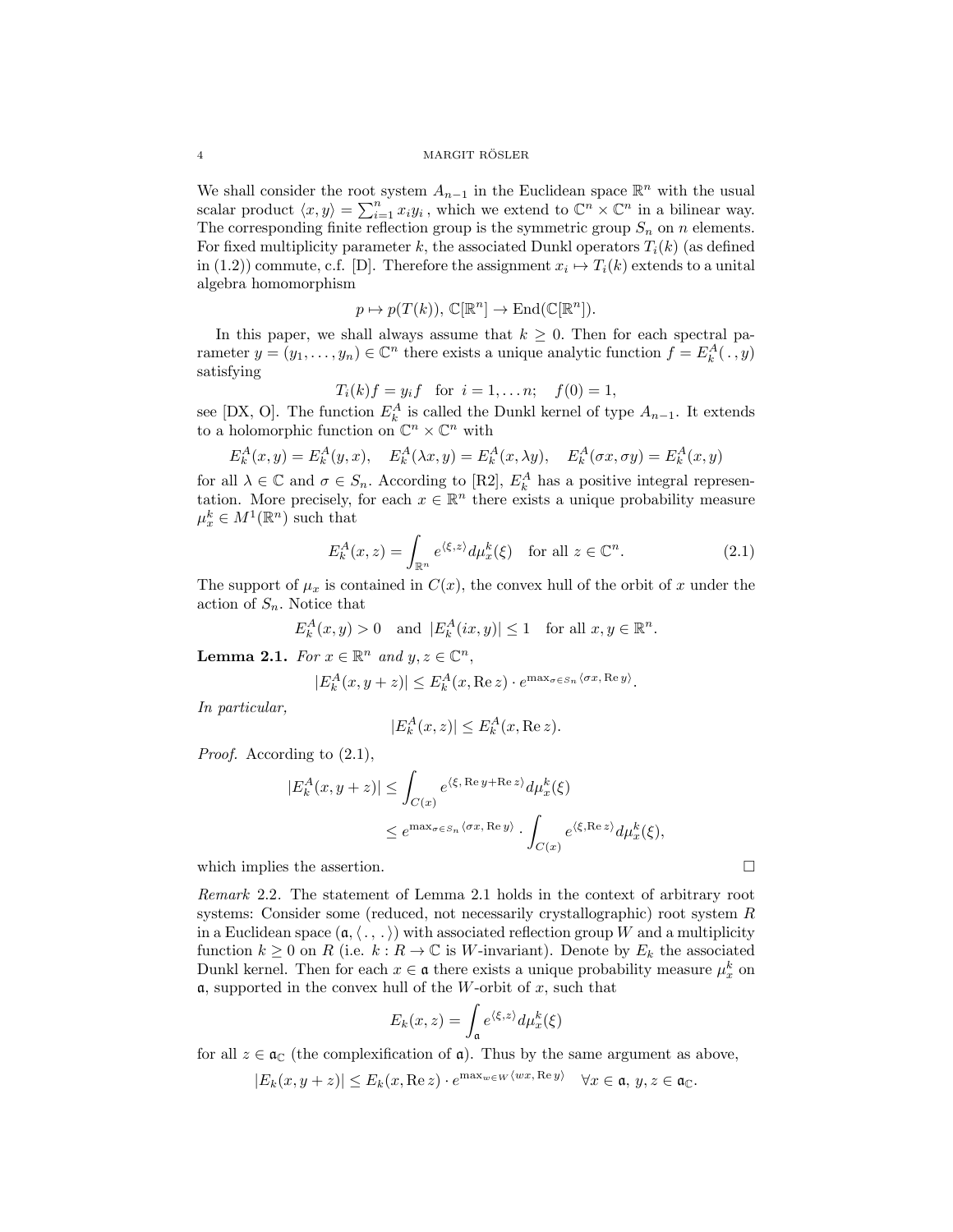#### 4 MARGIT RÖSLER

We shall consider the root system  $A_{n-1}$  in the Euclidean space  $\mathbb{R}^n$  with the usual scalar product  $\langle x, y \rangle = \sum_{i=1}^{n} x_i y_i$ , which we extend to  $\mathbb{C}^n \times \mathbb{C}^n$  in a bilinear way. The corresponding finite reflection group is the symmetric group  $S_n$  on *n* elements. For fixed multiplicity parameter  $k$ , the associated Dunkl operators  $T_i(k)$  (as defined in (1.2)) commute, c.f. [D]. Therefore the assignment  $x_i \mapsto T_i(k)$  extends to a unital algebra homomorphism

$$
p \mapsto p(T(k)), \, \mathbb{C}[\mathbb{R}^n] \to \mathrm{End}(\mathbb{C}[\mathbb{R}^n]).
$$

In this paper, we shall always assume that  $k \geq 0$ . Then for each spectral parameter  $y = (y_1, \ldots, y_n) \in \mathbb{C}^n$  there exists a unique analytic function  $f = E_k^A(\cdot, y)$ satisfying

$$
T_i(k)f = y_i f
$$
 for  $i = 1,... n$ ;  $f(0) = 1$ ,

see [DX, O]. The function  $E_k^A$  is called the Dunkl kernel of type  $A_{n-1}$ . It extends to a holomorphic function on  $\mathbb{C}^n \times \mathbb{C}^n$  with

$$
E_k^A(x, y) = E_k^A(y, x), \quad E_k^A(\lambda x, y) = E_k^A(x, \lambda y), \quad E_k^A(\sigma x, \sigma y) = E_k^A(x, y)
$$

for all  $\lambda \in \mathbb{C}$  and  $\sigma \in S_n$ . According to [R2],  $E_k^A$  has a positive integral representation. More precisely, for each  $x \in \mathbb{R}^n$  there exists a unique probability measure  $\mu_x^k \in M^1(\mathbb{R}^n)$  such that

$$
E_k^A(x, z) = \int_{\mathbb{R}^n} e^{\langle \xi, z \rangle} d\mu_x^k(\xi) \quad \text{for all } z \in \mathbb{C}^n.
$$
 (2.1)

The support of  $\mu_x$  is contained in  $C(x)$ , the convex hull of the orbit of x under the action of *Sn.* Notice that

$$
E_k^A(x, y) > 0 \quad \text{and } \left| E_k^A(ix, y) \right| \le 1 \quad \text{for all } x, y \in \mathbb{R}^n.
$$

**Lemma 2.1.** *For*  $x \in \mathbb{R}^n$  *and*  $y, z \in \mathbb{C}^n$ *,* 

$$
|E_k^A(x, y+z)| \le E_k^A(x, \text{Re}\, z) \cdot e^{\max_{\sigma \in S_n} \langle \sigma x, \text{Re}\, y \rangle}.
$$

*In particular,*

$$
|E_k^A(x, z)| \le E_k^A(x, \text{Re } z).
$$

*Proof.* According to (2.1),

$$
|E_k^A(x, y+z)| \le \int_{C(x)} e^{\langle \xi, \text{Re } y + \text{Re } z \rangle} d\mu_x^k(\xi)
$$
  

$$
\le e^{\max_{\sigma \in S_n} \langle \sigma x, \text{Re } y \rangle} \cdot \int_{C(x)} e^{\langle \xi, \text{Re } z \rangle} d\mu_x^k(\xi),
$$

which implies the assertion.

*Remark* 2.2*.* The statement of Lemma 2.1 holds in the context of arbitrary root systems: Consider some (reduced, not necessarily crystallographic) root system *R* in a Euclidean space  $(a, \langle ., . \rangle)$  with associated reflection group W and a multiplicity function  $k \geq 0$  on R (i.e.  $k : R \to \mathbb{C}$  is W-invariant). Denote by  $E_k$  the associated Dunkl kernel. Then for each  $x \in \mathfrak{a}$  there exists a unique probability measure  $\mu_x^k$  on a, supported in the convex hull of the *W*-orbit of *x*, such that

$$
E_k(x, z) = \int_{\mathfrak{a}} e^{\langle \xi, z \rangle} d\mu_x^k(\xi)
$$

for all  $z \in \mathfrak{a}_{\mathbb{C}}$  (the complexification of  $\mathfrak{a}$ ). Thus by the same argument as above,

 $|E_k(x, y + z)| \le E_k(x, \text{Re } z) \cdot e^{\max_w \in W\langle wx, \text{Re } y \rangle} \quad \forall x \in \mathfrak{a}, y, z \in \mathfrak{a}_{\mathbb{C}}.$ 

$$
\Box
$$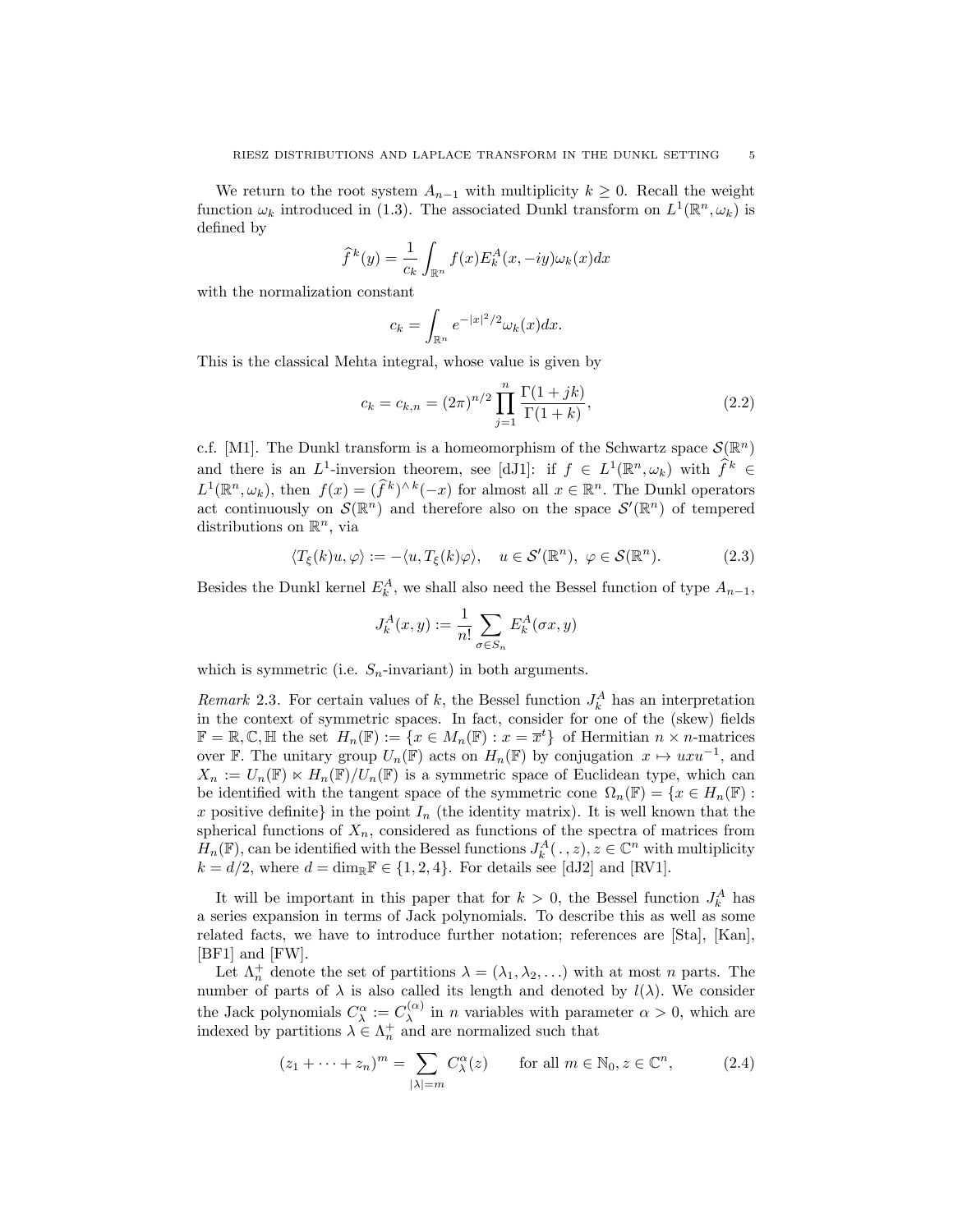We return to the root system  $A_{n-1}$  with multiplicity  $k \geq 0$ . Recall the weight function  $\omega_k$  introduced in (1.3). The associated Dunkl transform on  $L^1(\mathbb{R}^n, \omega_k)$  is defined by

$$
\widehat{f}^k(y) = \frac{1}{c_k} \int_{\mathbb{R}^n} f(x) E_k^A(x, -iy) \omega_k(x) dx
$$

with the normalization constant

$$
c_k = \int_{\mathbb{R}^n} e^{-|x|^2/2} \omega_k(x) dx.
$$

This is the classical Mehta integral, whose value is given by

$$
c_k = c_{k,n} = (2\pi)^{n/2} \prod_{j=1}^{n} \frac{\Gamma(1+jk)}{\Gamma(1+k)},
$$
\n(2.2)

c.f. [M1]. The Dunkl transform is a homeomorphism of the Schwartz space  $\mathcal{S}(\mathbb{R}^n)$ and there is an *L*<sup>1</sup>-inversion theorem, see [dJ1]: if  $f \in L^1(\mathbb{R}^n, \omega_k)$  with  $\hat{f}^k \in$  $L^1(\mathbb{R}^n, \omega_k)$ , then  $f(x) = (\hat{f}^k)^{\wedge k}(-x)$  for almost all  $x \in \mathbb{R}^n$ . The Dunkl operators act continuously on  $\mathcal{S}(\mathbb{R}^n)$  and therefore also on the space  $\mathcal{S}'(\mathbb{R}^n)$  of tempered distributions on R*<sup>n</sup>*, via

$$
\langle T_{\xi}(k)u, \varphi \rangle := -\langle u, T_{\xi}(k)\varphi \rangle, \quad u \in \mathcal{S}'(\mathbb{R}^n), \ \varphi \in \mathcal{S}(\mathbb{R}^n). \tag{2.3}
$$

Besides the Dunkl kernel  $E_k^A$ , we shall also need the Bessel function of type  $A_{n-1}$ ,

$$
J_k^A(x, y) := \frac{1}{n!} \sum_{\sigma \in S_n} E_k^A(\sigma x, y)
$$

which is symmetric (i.e.  $S_n$ -invariant) in both arguments.

*Remark* 2.3. For certain values of *k*, the Bessel function  $J_k^A$  has an interpretation in the context of symmetric spaces. In fact, consider for one of the (skew) fields  $\mathbb{F} = \mathbb{R}, \mathbb{C}, \mathbb{H}$  the set  $H_n(\mathbb{F}) := \{x \in M_n(\mathbb{F}) : x = \overline{x}^t\}$  of Hermitian  $n \times n$ -matrices over F. The unitary group  $U_n(\mathbb{F})$  acts on  $H_n(\mathbb{F})$  by conjugation  $x \mapsto uxu^{-1}$ , and  $X_n := U_n(\mathbb{F}) \ltimes H_n(\mathbb{F})/U_n(\mathbb{F})$  is a symmetric space of Euclidean type, which can be identified with the tangent space of the symmetric cone  $\Omega_n(\mathbb{F}) = \{x \in H_n(\mathbb{F}) :$ *x* positive definite} in the point  $I_n$  (the identity matrix). It is well known that the spherical functions of  $X_n$ , considered as functions of the spectra of matrices from *H<sub>n</sub>*(F), can be identified with the Bessel functions  $J_k^A(.,z), z \in \mathbb{C}^n$  with multiplicity  $k = d/2$ , where  $d = \dim_{\mathbb{R}} \mathbb{F} \in \{1, 2, 4\}$ . For details see [dJ2] and [RV1].

It will be important in this paper that for  $k > 0$ , the Bessel function  $J_k^A$  has a series expansion in terms of Jack polynomials. To describe this as well as some related facts, we have to introduce further notation; references are [Sta], [Kan], [BF1] and [FW].

Let  $\Lambda_n^+$  denote the set of partitions  $\lambda = (\lambda_1, \lambda_2, \ldots)$  with at most *n* parts. The number of parts of  $\lambda$  is also called its length and denoted by  $l(\lambda)$ . We consider the Jack polynomials  $C_{\lambda}^{\alpha} := C_{\lambda}^{(\alpha)}$  in *n* variables with parameter  $\alpha > 0$ , which are indexed by partitions  $\lambda \in \Lambda_n^+$  and are normalized such that

$$
(z_1 + \dots + z_n)^m = \sum_{|\lambda| = m} C_{\lambda}^{\alpha}(z) \quad \text{for all } m \in \mathbb{N}_0, z \in \mathbb{C}^n,
$$
 (2.4)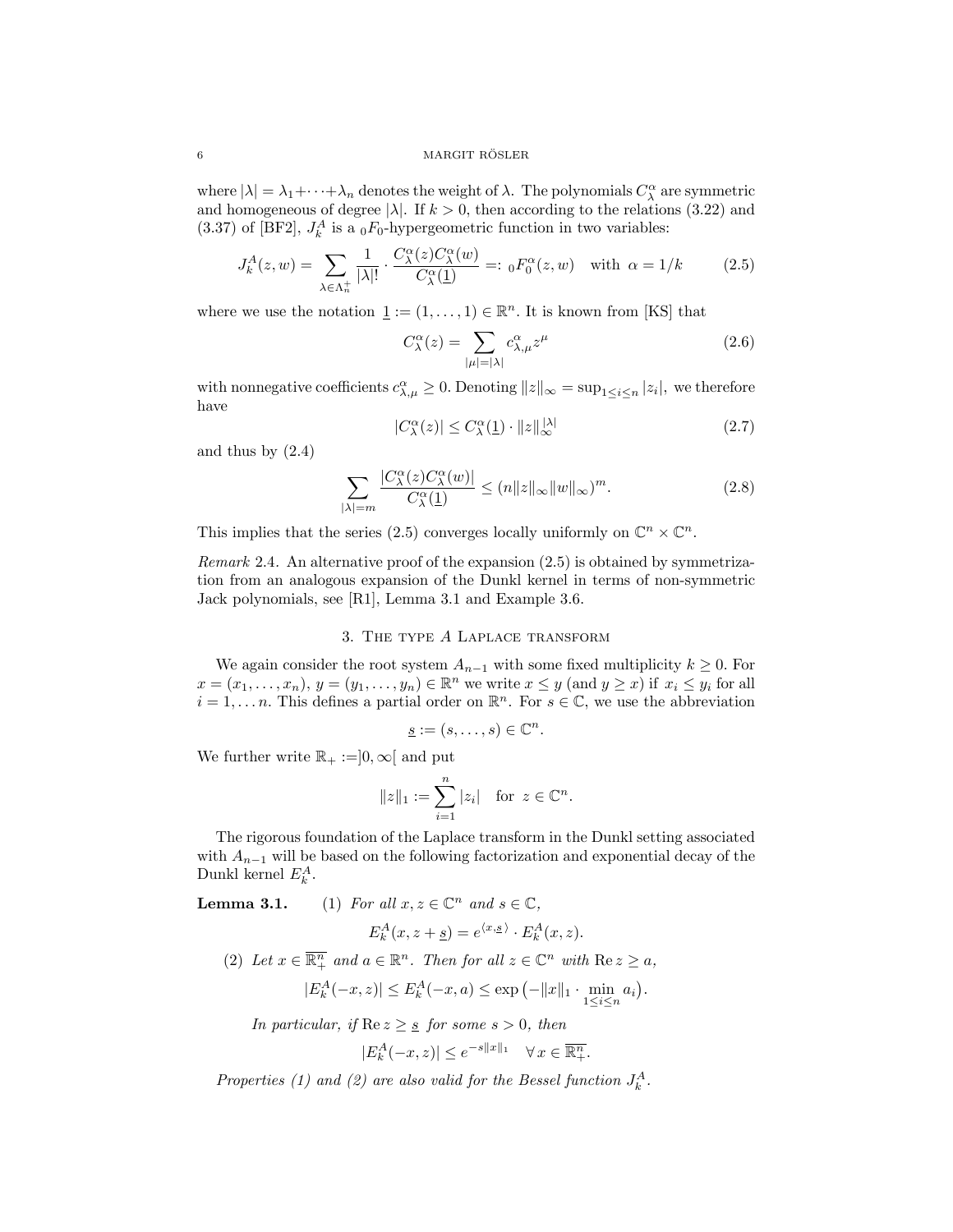#### $6$  MARGIT RÖSLER

where  $|\lambda| = \lambda_1 + \cdots + \lambda_n$  denotes the weight of  $\lambda$ . The polynomials  $C^{\alpha}_{\lambda}$  are symmetric and homogeneous of degree  $|\lambda|$ . If  $k > 0$ , then according to the relations (3.22) and  $(3.37)$  of [BF2],  $J_k^A$  is a <sub>0</sub> $F_0$ -hypergeometric function in two variables:

$$
J_k^A(z, w) = \sum_{\lambda \in \Lambda_n^+} \frac{1}{|\lambda|!} \cdot \frac{C_{\lambda}^{\alpha}(z) C_{\lambda}^{\alpha}(w)}{C_{\lambda}^{\alpha}(\underline{1})} =: {}_0F_0^{\alpha}(z, w) \text{ with } \alpha = 1/k \tag{2.5}
$$

where we use the notation  $\underline{1} := (1, \ldots, 1) \in \mathbb{R}^n$ . It is known from [KS] that

$$
C^{\alpha}_{\lambda}(z) = \sum_{|\mu|=|\lambda|} c^{\alpha}_{\lambda,\mu} z^{\mu}
$$
\n(2.6)

with nonnegative coefficients  $c^{\alpha}_{\lambda,\mu} \geq 0$ . Denoting  $||z||_{\infty} = \sup_{1 \leq i \leq n} |z_i|$ , we therefore have

$$
|C_{\lambda}^{\alpha}(z)| \le C_{\lambda}^{\alpha}(\underline{1}) \cdot ||z||_{\infty}^{|\lambda|} \tag{2.7}
$$

and thus by  $(2.4)$ 

$$
\sum_{|\lambda|=m} \frac{|C_{\lambda}^{\alpha}(z)C_{\lambda}^{\alpha}(w)|}{C_{\lambda}^{\alpha}(\underline{1})} \le (n||z||_{\infty}||w||_{\infty})^{m}.
$$
\n(2.8)

This implies that the series (2.5) converges locally uniformly on  $\mathbb{C}^n \times \mathbb{C}^n$ .

*Remark* 2.4*.* An alternative proof of the expansion (2.5) is obtained by symmetrization from an analogous expansion of the Dunkl kernel in terms of non-symmetric Jack polynomials, see [R1], Lemma 3.1 and Example 3.6.

## 3. The type *A* Laplace transform

We again consider the root system  $A_{n-1}$  with some fixed multiplicity  $k \geq 0$ . For  $x = (x_1, \ldots, x_n), y = (y_1, \ldots, y_n) \in \mathbb{R}^n$  we write  $x \leq y$  (and  $y \geq x$ ) if  $x_i \leq y_i$  for all  $i = 1, \ldots, n$ . This defines a partial order on  $\mathbb{R}^n$ . For  $s \in \mathbb{C}$ , we use the abbreviation

$$
\underline{s} := (s, \ldots, s) \in \mathbb{C}^n.
$$

We further write  $\mathbb{R}_+ := ]0, \infty[$  and put

$$
||z||_1 := \sum_{i=1}^n |z_i| \text{ for } z \in \mathbb{C}^n.
$$

The rigorous foundation of the Laplace transform in the Dunkl setting associated with  $A_{n-1}$  will be based on the following factorization and exponential decay of the Dunkl kernel  $E_k^A$ .

**Lemma 3.1.** (1) *For all*  $x, z \in \mathbb{C}^n$  *and*  $s \in \mathbb{C}$ *,* 

$$
E_k^A(x, z + \underline{s}) = e^{\langle x, \underline{s} \rangle} \cdot E_k^A(x, z).
$$

(2) Let  $x \in \overline{\mathbb{R}^n_+}$  and  $a \in \mathbb{R}^n$ . Then for all  $z \in \mathbb{C}^n$  with  $\text{Re } z \ge a$ ,

$$
|E_k^A(-x, z)| \le E_k^A(-x, a) \le \exp(-\|x\|_1 \cdot \min_{1 \le i \le n} a_i).
$$

*In particular, if*  $\text{Re } z \geq \frac{s}{s}$  *for some*  $s > 0$ *, then* 

$$
|E_k^A(-x,z)| \le e^{-s||x||_1} \quad \forall \, x \in \overline{\mathbb{R}_+^n}.
$$

*Properties* (1) *and* (2) *are also valid for the Bessel function*  $J_k^A$ .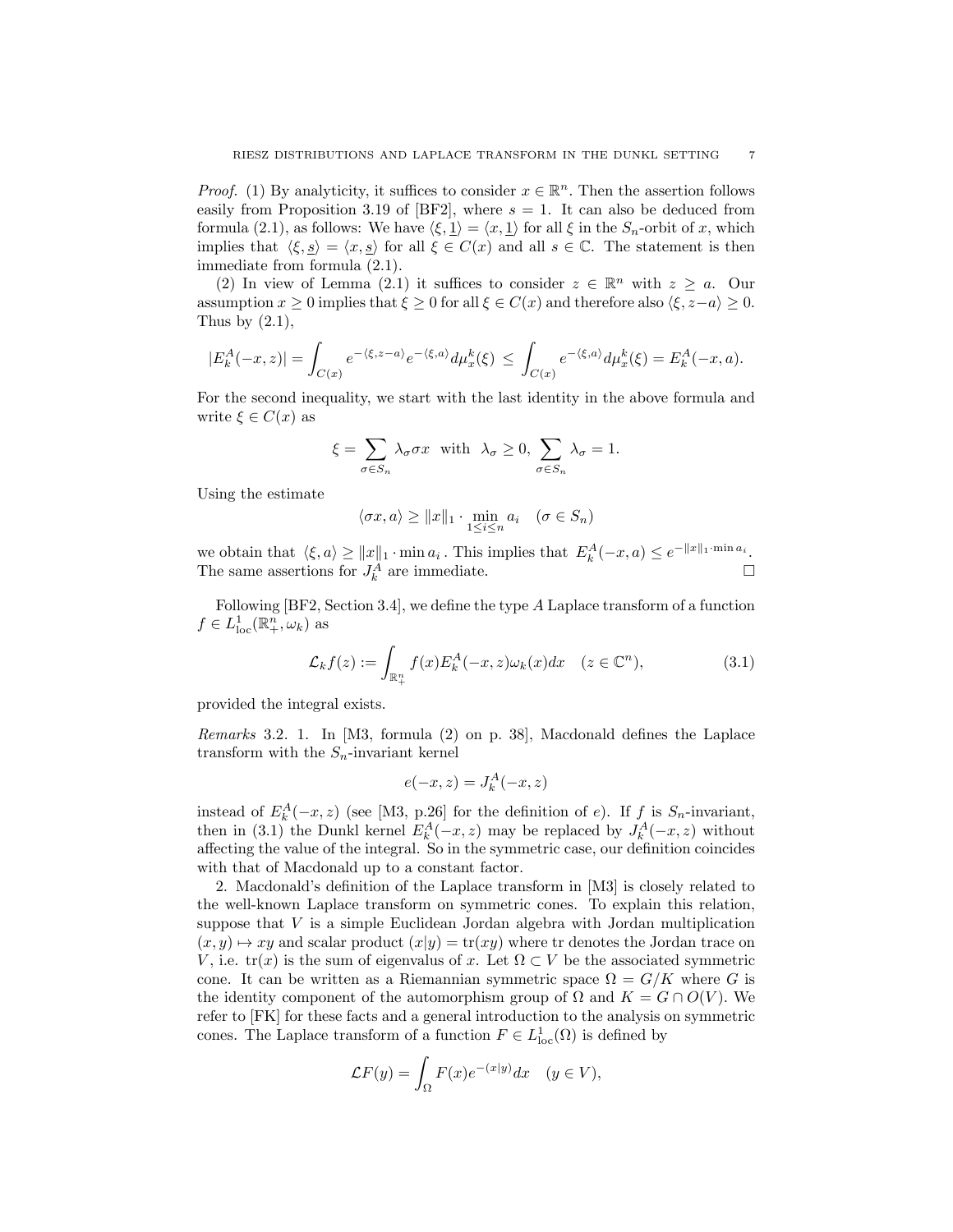*Proof.* (1) By analyticity, it suffices to consider  $x \in \mathbb{R}^n$ . Then the assertion follows easily from Proposition 3.19 of [BF2], where  $s = 1$ . It can also be deduced from formula (2.1), as follows: We have  $\langle \xi, \underline{1} \rangle = \langle x, \underline{1} \rangle$  for all  $\xi$  in the  $S_n$ -orbit of *x*, which implies that  $\langle \xi, \underline{s} \rangle = \langle x, \underline{s} \rangle$  for all  $\xi \in C(x)$  and all  $s \in \mathbb{C}$ . The statement is then immediate from formula (2.1).

(2) In view of Lemma (2.1) it suffices to consider  $z \in \mathbb{R}^n$  with  $z \geq a$ . Our assumption  $x \geq 0$  implies that  $\xi \geq 0$  for all  $\xi \in C(x)$  and therefore also  $\langle \xi, z-a \rangle \geq 0$ . Thus by  $(2.1)$ ,

$$
|E_k^A(-x,z)|=\int_{C(x)}e^{-\langle\xi,z-a\rangle}e^{-\langle\xi,a\rangle}d\mu^k_x(\xi)\,\leq\,\int_{C(x)}e^{-\langle\xi,a\rangle}d\mu^k_x(\xi)=E_k^A(-x,a).
$$

For the second inequality, we start with the last identity in the above formula and write  $\xi \in C(x)$  as

$$
\xi = \sum_{\sigma \in S_n} \lambda_\sigma \sigma x \quad \text{with} \quad \lambda_\sigma \ge 0, \sum_{\sigma \in S_n} \lambda_\sigma = 1.
$$

Using the estimate

$$
\langle \sigma x, a \rangle \ge ||x||_1 \cdot \min_{1 \le i \le n} a_i \quad (\sigma \in S_n)
$$

we obtain that  $\langle \xi, a \rangle \ge ||x||_1 \cdot \min a_i$ . This implies that  $E_k^A(-x, a) \le e^{-||x||_1 \cdot \min a_i}$ . The same assertions for  $J_k^A$  are immediate.  $\Box$ 

Following [BF2, Section 3.4], we define the type *A* Laplace transform of a function  $f \in L^1_{\text{loc}}(\mathbb{R}^n_+, \omega_k)$  as

$$
\mathcal{L}_k f(z) := \int_{\mathbb{R}_+^n} f(x) E_k^A(-x, z) \omega_k(x) dx \quad (z \in \mathbb{C}^n), \tag{3.1}
$$

provided the integral exists.

*Remarks* 3.2*.* 1. In [M3, formula (2) on p. 38], Macdonald defines the Laplace transform with the  $S_n$ -invariant kernel

$$
e(-x, z) = J_k^A(-x, z)
$$

instead of  $E_k^A(-x, z)$  (see [M3, p.26] for the definition of *e*). If *f* is  $S_n$ -invariant, then in (3.1) the Dunkl kernel  $E_k^A(-x, z)$  may be replaced by  $J_k^A(-x, z)$  without affecting the value of the integral. So in the symmetric case, our definition coincides with that of Macdonald up to a constant factor.

2. Macdonald's definition of the Laplace transform in [M3] is closely related to the well-known Laplace transform on symmetric cones. To explain this relation, suppose that *V* is a simple Euclidean Jordan algebra with Jordan multiplication  $(x, y) \mapsto xy$  and scalar product  $(x|y) = \text{tr}(xy)$  where tr denotes the Jordan trace on *V*, i.e. tr(*x*) is the sum of eigenvalus of *x*. Let  $\Omega \subset V$  be the associated symmetric cone. It can be written as a Riemannian symmetric space  $\Omega = G/K$  where G is the identity component of the automorphism group of  $\Omega$  and  $K = G \cap O(V)$ . We refer to [FK] for these facts and a general introduction to the analysis on symmetric cones. The Laplace transform of a function  $F \in L^1_{loc}(\Omega)$  is defined by

$$
\mathcal{L}F(y) = \int_{\Omega} F(x)e^{-(x|y)}dx \quad (y \in V),
$$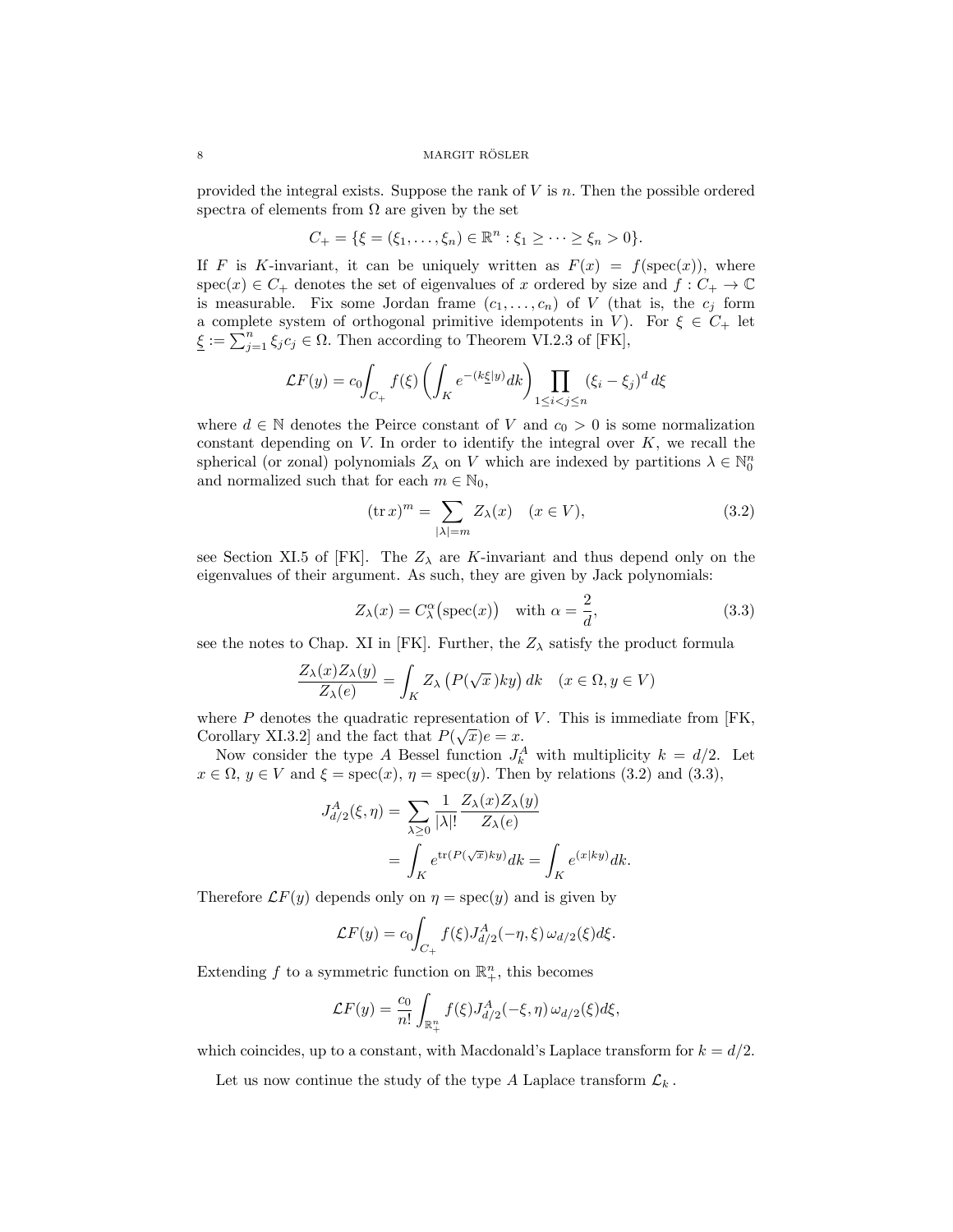#### $\begin{array}{c} \text{MARGIT RÖSLER} \end{array}$

provided the integral exists. Suppose the rank of *V* is *n.* Then the possible ordered spectra of elements from  $\Omega$  are given by the set

$$
C_{+} = \{ \xi = (\xi_1, \ldots, \xi_n) \in \mathbb{R}^n : \xi_1 \geq \cdots \geq \xi_n > 0 \}.
$$

If *F* is *K*-invariant, it can be uniquely written as  $F(x) = f(\text{spec}(x))$ , where spec(*x*)  $\in$  *C*<sub>+</sub> denotes the set of eigenvalues of *x* ordered by size and  $f: C_+ \to \mathbb{C}$ is measurable. Fix some Jordan frame  $(c_1, \ldots, c_n)$  of *V* (that is, the  $c_j$  form a complete system of orthogonal primitive idempotents in *V*). For  $\xi \in C_+$  let  $\underline{\xi} := \sum_{j=1}^{n} \xi_j c_j \in \Omega$ . Then according to Theorem VI.2.3 of [FK],

$$
\mathcal{L}F(y) = c_0 \int_{C_+} f(\xi) \left( \int_K e^{-(k\xi|y)} dk \right) \prod_{1 \le i < j \le n} (\xi_i - \xi_j)^d d\xi
$$

where  $d \in \mathbb{N}$  denotes the Peirce constant of *V* and  $c_0 > 0$  is some normalization constant depending on *V.* In order to identify the integral over *K*, we recall the spherical (or zonal) polynomials  $Z_{\lambda}$  on *V* which are indexed by partitions  $\lambda \in \mathbb{N}_0^n$ and normalized such that for each  $m \in \mathbb{N}_0$ ,

$$
(\operatorname{tr} x)^m = \sum_{|\lambda|=m} Z_{\lambda}(x) \quad (x \in V), \tag{3.2}
$$

see Section XI.5 of [FK]. The  $Z_{\lambda}$  are *K*-invariant and thus depend only on the eigenvalues of their argument. As such, they are given by Jack polynomials:

$$
Z_{\lambda}(x) = C_{\lambda}^{\alpha}(\text{spec}(x)) \quad \text{with } \alpha = \frac{2}{d}, \tag{3.3}
$$

see the notes to Chap. XI in [FK]. Further, the  $Z_{\lambda}$  satisfy the product formula

$$
\frac{Z_{\lambda}(x)Z_{\lambda}(y)}{Z_{\lambda}(e)} = \int_{K} Z_{\lambda} \left( P(\sqrt{x})ky \right) dk \quad (x \in \Omega, y \in V)
$$

where  $P$  denotes the quadratic representation of  $V$ . This is immediate from  $[FK,$ Corollary XI.3.2] and the fact that  $P(\sqrt{x})e = x$ .

Now consider the type *A* Bessel function  $J_k^A$  with multiplicity  $k = d/2$ . Let  $x \in \Omega$ ,  $y \in V$  and  $\xi = \text{spec}(x)$ ,  $\eta = \text{spec}(y)$ . Then by relations (3.2) and (3.3),

$$
J_{d/2}^{A}(\xi, \eta) = \sum_{\lambda \ge 0} \frac{1}{|\lambda|!} \frac{Z_{\lambda}(x) Z_{\lambda}(y)}{Z_{\lambda}(e)}
$$
  
= 
$$
\int_{K} e^{\text{tr}(P(\sqrt{x})ky)} dk = \int_{K} e^{(x|ky)} dk.
$$

Therefore  $\mathcal{L}F(y)$  depends only on  $\eta = \text{spec}(y)$  and is given by

$$
\mathcal{L}F(y) = c_0 \int_{C_+} f(\xi) J_{d/2}^A(-\eta, \xi) \,\omega_{d/2}(\xi) d\xi.
$$

Extending  $f$  to a symmetric function on  $\mathbb{R}^n_+$ , this becomes

$$
\mathcal{L}F(y) = \frac{c_0}{n!} \int_{\mathbb{R}^n_+} f(\xi) J_{d/2}^A(-\xi, \eta) \, \omega_{d/2}(\xi) d\xi,
$$

which coincides, up to a constant, with Macdonald's Laplace transform for  $k = d/2$ .

Let us now continue the study of the type *A* Laplace transform  $\mathcal{L}_k$ .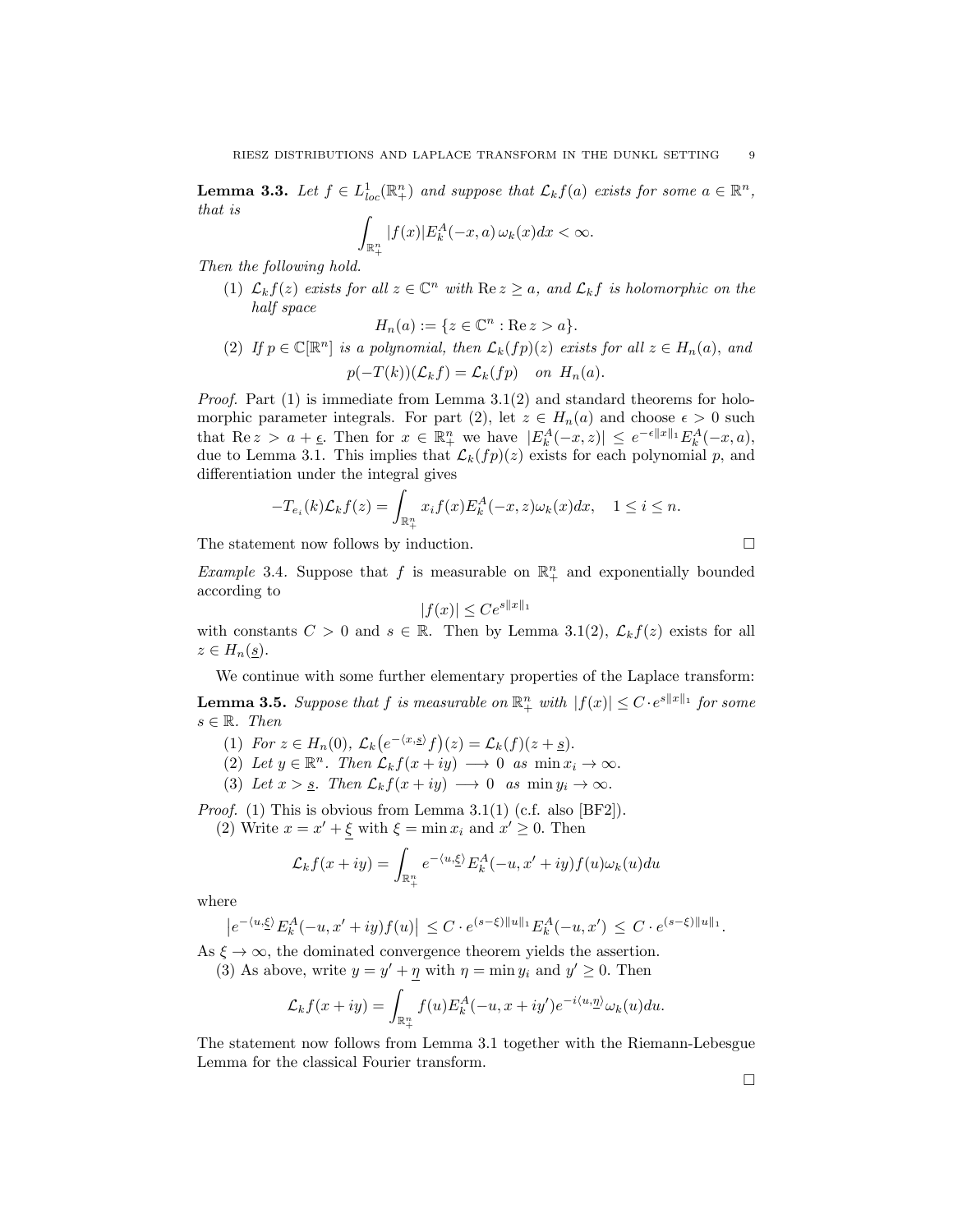**Lemma 3.3.** Let  $f \in L^1_{loc}(\mathbb{R}^n_+)$  and suppose that  $\mathcal{L}_k f(a)$  exists for some  $a \in \mathbb{R}^n$ , *that is*

$$
\int_{\mathbb{R}^n_+} |f(x)| E_k^A(-x, a) \, \omega_k(x) dx < \infty.
$$

*Then the following hold.*

(1)  $\mathcal{L}_k f(z)$  *exists for* all  $z \in \mathbb{C}^n$  *with*  $\text{Re } z \geq a$ *,* and  $\mathcal{L}_k f$  *is holomorphic on the half space*

$$
H_n(a) := \{ z \in \mathbb{C}^n : \text{Re}\, z > a \}.
$$

(2) If  $p \in \mathbb{C}[\mathbb{R}^n]$  is a polynomial, then  $\mathcal{L}_k(fp)(z)$  exists for all  $z \in H_n(a)$ , and  $p(-T(k))$ ( $\mathcal{L}_k f$ ) =  $\mathcal{L}_k (fp)$  *on*  $H_n(a)$ *.* 

*Proof.* Part (1) is immediate from Lemma 3.1(2) and standard theorems for holomorphic parameter integrals. For part (2), let 
$$
z \in H_n(a)
$$
 and choose  $\epsilon > 0$  such that  $\text{Re } z > a + \epsilon$ . Then for  $x \in \mathbb{R}^n_+$  we have  $|E_k^A(-x, z)| \leq e^{-\epsilon ||x||_1} E_k^A(-x, a)$ , due to Lemma 3.1. This implies that  $\mathcal{L}_k(fp)(z)$  exists for each polynomial p, and differentiation under the integral gives

$$
-T_{e_i}(k)\mathcal{L}_k f(z) = \int_{\mathbb{R}^n_+} x_i f(x) E_k^A(-x, z) \omega_k(x) dx, \quad 1 \le i \le n.
$$

The statement now follows by induction.  $\Box$ 

*Example* 3.4. Suppose that *f* is measurable on  $\mathbb{R}^n_+$  and exponentially bounded according to

$$
|f(x)| \le Ce^{s||x||_1}
$$

with constants  $C > 0$  and  $s \in \mathbb{R}$ . Then by Lemma 3.1(2),  $\mathcal{L}_k f(z)$  exists for all  $z \in H_n(\underline{s})$ .

We continue with some further elementary properties of the Laplace transform:

**Lemma 3.5.** Suppose that  $f$  is measurable on  $\mathbb{R}^n_+$  with  $|f(x)| \leq C \cdot e^{s||x||_1}$  for some  $s \in \mathbb{R}$ *. Then* 

(1) *For*  $z \in H_n(0)$ ,  $\mathcal{L}_k(e^{-\langle x, \underline{s} \rangle} f)(z) = \mathcal{L}_k(f)(z + \underline{s})$ .

(2) Let  $y \in \mathbb{R}^n$ . Then  $\mathcal{L}_k f(x+iy) \longrightarrow 0$  as  $\min x_i \to \infty$ .

(3) Let  $x > s$ *. Then*  $\mathcal{L}_k f(x + iy) \longrightarrow 0$  *as*  $\min y_i \rightarrow \infty$ *.* 

*Proof.* (1) This is obvious from Lemma 3.1(1) (c.f. also [BF2]).

(2) Write  $x = x' + \xi$  with  $\xi = \min x_i$  and  $x' \ge 0$ . Then

$$
\mathcal{L}_k f(x+iy) = \int_{\mathbb{R}^n_+} e^{-\langle u, \underline{\xi} \rangle} E_k^A(-u, x'+iy) f(u) \omega_k(u) du
$$

where

$$
|e^{-\langle u, \underline{\xi} \rangle} E_k^A(-u, x' + iy) f(u)| \leq C \cdot e^{(s-\xi) ||u||_1} E_k^A(-u, x') \leq C \cdot e^{(s-\xi) ||u||_1}.
$$

As  $\xi \to \infty$ , the dominated convergence theorem yields the assertion.

(3) As above, write  $y = y' + \eta$  with  $\eta = \min y_i$  and  $y' \ge 0$ . Then

$$
\mathcal{L}_k f(x+iy) = \int_{\mathbb{R}^n_+} f(u) E_k^A(-u, x+iy') e^{-i\langle u, \underline{\eta} \rangle} \omega_k(u) du.
$$

The statement now follows from Lemma 3.1 together with the Riemann-Lebesgue Lemma for the classical Fourier transform.

□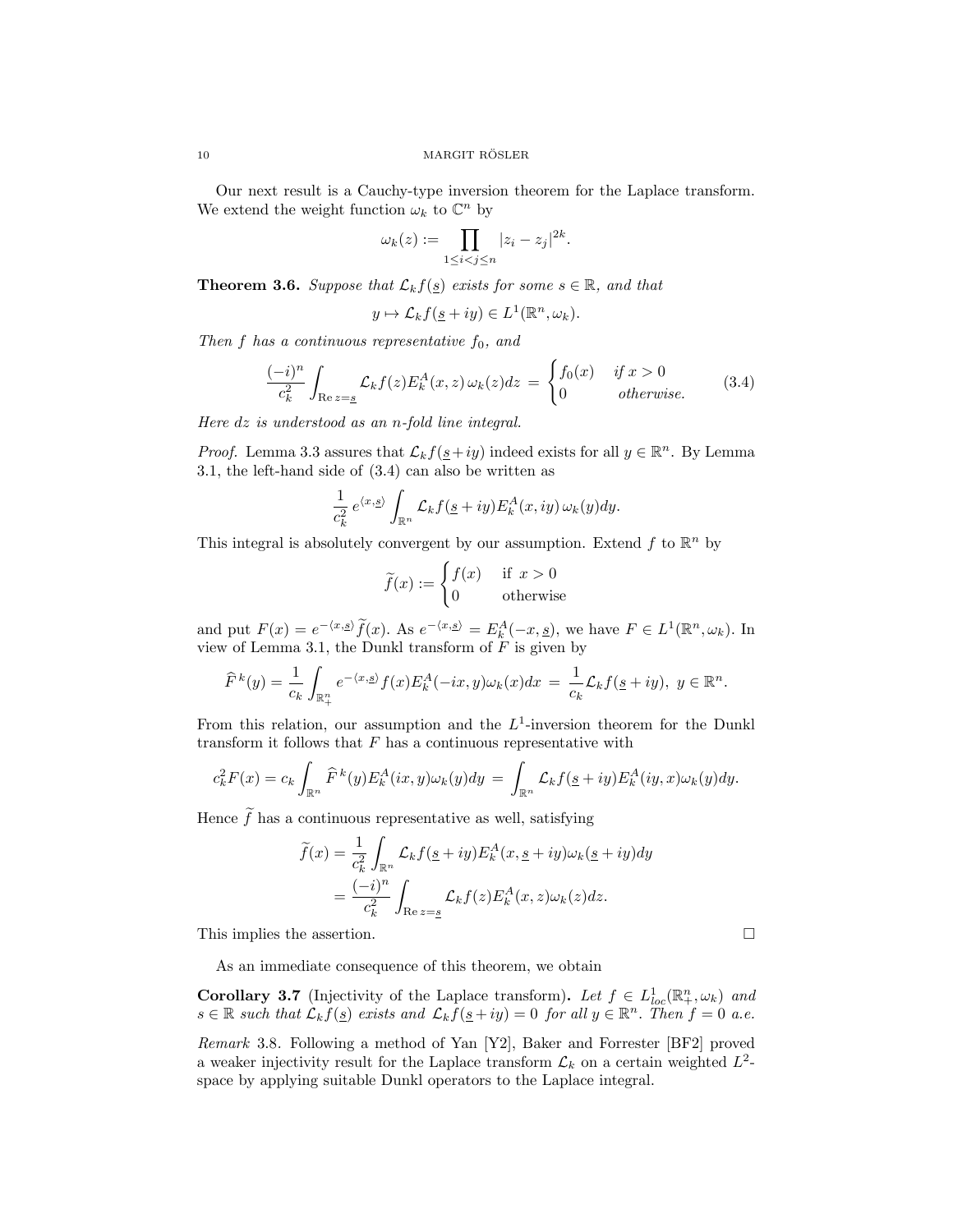Our next result is a Cauchy-type inversion theorem for the Laplace transform. We extend the weight function  $\omega_k$  to  $\mathbb{C}^n$  by

$$
\omega_k(z) := \prod_{1 \le i < j \le n} |z_i - z_j|^{2k}.
$$

**Theorem 3.6.** *Suppose that*  $\mathcal{L}_k f(\underline{s})$  *exists for some*  $s \in \mathbb{R}$ *, and that* 

$$
y \mapsto \mathcal{L}_k f(\underline{s} + iy) \in L^1(\mathbb{R}^n, \omega_k).
$$

*Then f has a continuous representative f*0*, and*

$$
\frac{(-i)^n}{c_k^2} \int_{\text{Re }z=s} \mathcal{L}_k f(z) E_k^A(x, z) \,\omega_k(z) dz = \begin{cases} f_0(x) & \text{if } x > 0\\ 0 & \text{otherwise.} \end{cases} \tag{3.4}
$$

*Here dz is understood as an n-fold line integral.*

*Proof.* Lemma 3.3 assures that  $\mathcal{L}_k f(\underline{s}+iy)$  indeed exists for all  $y \in \mathbb{R}^n$ . By Lemma 3.1, the left-hand side of (3.4) can also be written as

$$
\frac{1}{c_k^2} e^{\langle x, \underline{s} \rangle} \int_{\mathbb{R}^n} \mathcal{L}_k f(\underline{s} + iy) E_k^A(x, iy) \, \omega_k(y) dy.
$$

This integral is absolutely convergent by our assumption. Extend  $f$  to  $\mathbb{R}^n$  by

$$
\widetilde{f}(x) := \begin{cases} f(x) & \text{if } x > 0 \\ 0 & \text{otherwise} \end{cases}
$$

and put  $F(x) = e^{-\langle x, \underline{s} \rangle} f(x)$ . As  $e^{-\langle x, \underline{s} \rangle} = E_k^A(-x, \underline{s})$ , we have  $F \in L^1(\mathbb{R}^n, \omega_k)$ . In view of Lemma 3.1, the Dunkl transform of *F* is given by

$$
\widehat{F}^k(y) = \frac{1}{c_k} \int_{\mathbb{R}^n_+} e^{-\langle x, \underline{s} \rangle} f(x) E_k^A(-ix, y) \omega_k(x) dx = \frac{1}{c_k} \mathcal{L}_k f(\underline{s} + iy), \ y \in \mathbb{R}^n.
$$

From this relation, our assumption and the  $L^1$ -inversion theorem for the Dunkl transform it follows that  $F$  has a continuous representative with

$$
c_k^2 F(x) = c_k \int_{\mathbb{R}^n} \widehat{F}^k(y) E_k^A(ix, y) \omega_k(y) dy = \int_{\mathbb{R}^n} \mathcal{L}_k f(\underline{s} + iy) E_k^A(iy, x) \omega_k(y) dy.
$$

Hence  $f$  has a continuous representative as well, satisfying

$$
\widetilde{f}(x) = \frac{1}{c_k^2} \int_{\mathbb{R}^n} \mathcal{L}_k f(\underline{s} + iy) E_k^A(x, \underline{s} + iy) \omega_k(\underline{s} + iy) dy
$$

$$
= \frac{(-i)^n}{c_k^2} \int_{\text{Re } z = \underline{s}} \mathcal{L}_k f(z) E_k^A(x, z) \omega_k(z) dz.
$$

This implies the assertion.  $\Box$ 

As an immediate consequence of this theorem, we obtain

**Corollary 3.7** (Injectivity of the Laplace transform). Let  $f \in L^1_{loc}(\mathbb{R}^n_+,\omega_k)$  and  $s \in \mathbb{R}$  such that  $\mathcal{L}_k f(s)$  exists and  $\mathcal{L}_k f(s+iy) = 0$  for all  $y \in \mathbb{R}^n$ . Then  $f = 0$  a.e.

*Remark* 3.8*.* Following a method of Yan [Y2], Baker and Forrester [BF2] proved a weaker injectivity result for the Laplace transform  $\mathcal{L}_k$  on a certain weighted  $L^2$ space by applying suitable Dunkl operators to the Laplace integral.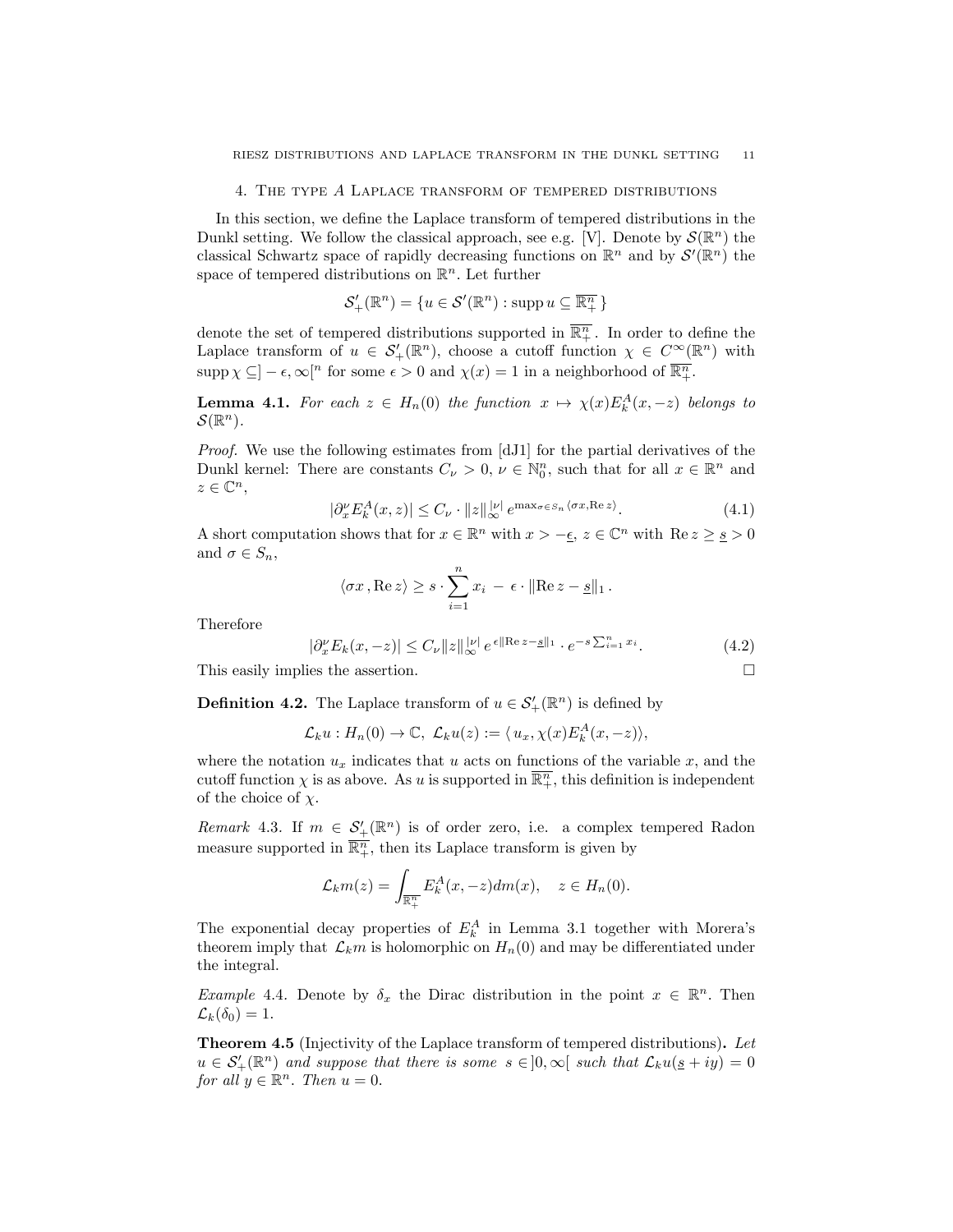#### 4. The type *A* Laplace transform of tempered distributions

In this section, we define the Laplace transform of tempered distributions in the Dunkl setting. We follow the classical approach, see e.g. [V]. Denote by  $\mathcal{S}(\mathbb{R}^n)$  the classical Schwartz space of rapidly decreasing functions on  $\mathbb{R}^n$  and by  $\mathcal{S}'(\mathbb{R}^n)$  the space of tempered distributions on  $\mathbb{R}^n$ . Let further

$$
\mathcal{S}'_{+}(\mathbb{R}^{n}) = \{u \in \mathcal{S}'(\mathbb{R}^{n}) : \operatorname{supp} u \subseteq \overline{\mathbb{R}^{n}_{+}}\}
$$

denote the set of tempered distributions supported in  $\overline{\mathbb{R}^n_+}$ . In order to define the Laplace transform of  $u \in S'_{+}(\mathbb{R}^{n})$ , choose a cutoff function  $\chi \in C^{\infty}(\mathbb{R}^{n})$  with  $\sup p \chi \subseteq ] - \epsilon, \infty[^n$  for some  $\epsilon > 0$  and  $\chi(x) = 1$  in a neighborhood of  $\overline{\mathbb{R}^n_+}$ .

**Lemma 4.1.** For each  $z \in H_n(0)$  the function  $x \mapsto \chi(x)E_k^A(x, -z)$  belongs to  $\mathcal{S}(\mathbb{R}^n)$ .

*Proof.* We use the following estimates from [dJ1] for the partial derivatives of the Dunkl kernel: There are constants  $C_{\nu} > 0$ ,  $\nu \in \mathbb{N}_0^n$ , such that for all  $x \in \mathbb{R}^n$  and  $z \in \mathbb{C}^n$ ,

$$
|\partial_{x}^{\nu} E_{k}^{A}(x, z)| \leq C_{\nu} \cdot ||z||_{\infty}^{|\nu|} e^{\max_{\sigma \in S_{n}} \langle \sigma x, \text{Re } z \rangle}.
$$
 (4.1)

A short computation shows that for  $x \in \mathbb{R}^n$  with  $x > -\epsilon$ ,  $z \in \mathbb{C}^n$  with  $\text{Re } z \geq s > 0$ and  $\sigma \in S_n$ ,

$$
\langle \sigma x, \text{Re } z \rangle \geq s \cdot \sum_{i=1}^{n} x_i - \epsilon \cdot ||\text{Re } z - \underline{s}||_1.
$$

Therefore

$$
|\partial_x^{\nu} E_k(x, -z)| \le C_{\nu} \|z\|_{\infty}^{|\nu|} e^{\epsilon \|\text{Re}\, z - \underline{s}\|_1} \cdot e^{-s \sum_{i=1}^n x_i}.
$$
 (4.2)

This easily implies the assertion. □

**Definition 4.2.** The Laplace transform of  $u \in \mathcal{S}'_+(\mathbb{R}^n)$  is defined by

$$
\mathcal{L}_k u : H_n(0) \to \mathbb{C}, \ \mathcal{L}_k u(z) := \langle u_x, \chi(x) E_k^A(x, -z) \rangle,
$$

where the notation  $u_x$  indicates that  $u$  acts on functions of the variable  $x$ , and the cutoff function  $\chi$  is as above. As *u* is supported in  $\overline{\mathbb{R}^n_+}$ , this definition is independent of the choice of χ*.*

*Remark* 4.3. If  $m \in S'_{+}(\mathbb{R}^n)$  is of order zero, i.e. a complex tempered Radon measure supported in  $\overline{\mathbb{R}^n_+}$ , then its Laplace transform is given by

$$
\mathcal{L}_k m(z) = \int_{\overline{\mathbb{R}^n_+}} E_k^A(x, -z) dm(x), \quad z \in H_n(0).
$$

The exponential decay properties of  $E_k^A$  in Lemma 3.1 together with Morera's theorem imply that  $\mathcal{L}_k m$  is holomorphic on  $H_n(0)$  and may be differentiated under the integral.

*Example* 4.4*.* Denote by  $\delta_x$  the Dirac distribution in the point  $x \in \mathbb{R}^n$ . Then  $\mathcal{L}_k(\delta_0) = 1.$ 

Theorem 4.5 (Injectivity of the Laplace transform of tempered distributions). *Let*  $u \in S'_{+}(\mathbb{R}^{n})$  *and suppose that there is some*  $s \in ]0, \infty[$  *such that*  $\mathcal{L}_{k}u(\underline{s}+iy)=0$ *for all*  $y \in \mathbb{R}^n$ *. Then*  $u = 0$ *.*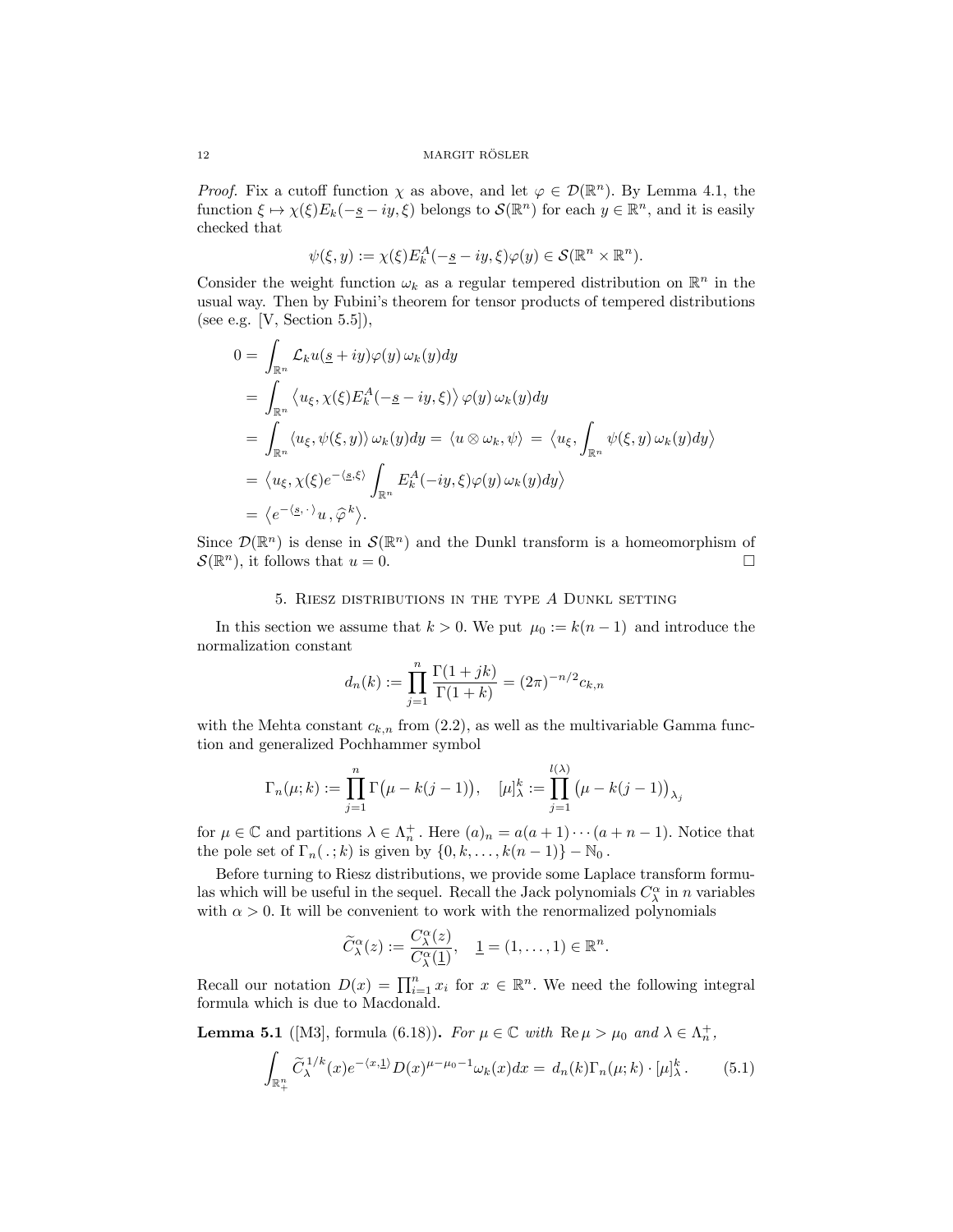*Proof.* Fix a cutoff function  $\chi$  as above, and let  $\varphi \in \mathcal{D}(\mathbb{R}^n)$ . By Lemma 4.1, the function  $\xi \mapsto \chi(\xi)E_k(-\underline{s}-iy,\xi)$  belongs to  $\mathcal{S}(\mathbb{R}^n)$  for each  $y \in \mathbb{R}^n$ , and it is easily checked that

$$
\psi(\xi, y) := \chi(\xi) E_k^A(-\underline{s} - iy, \xi) \varphi(y) \in \mathcal{S}(\mathbb{R}^n \times \mathbb{R}^n).
$$

Consider the weight function  $\omega_k$  as a regular tempered distribution on  $\mathbb{R}^n$  in the usual way. Then by Fubini's theorem for tensor products of tempered distributions (see e.g. [V, Section  $5.5$ ]),

$$
0 = \int_{\mathbb{R}^n} \mathcal{L}_k u(\underline{s} + iy) \varphi(y) \omega_k(y) dy
$$
  
\n
$$
= \int_{\mathbb{R}^n} \langle u_{\xi}, \chi(\xi) E_k^A(-\underline{s} - iy, \xi) \rangle \varphi(y) \omega_k(y) dy
$$
  
\n
$$
= \int_{\mathbb{R}^n} \langle u_{\xi}, \psi(\xi, y) \rangle \omega_k(y) dy = \langle u \otimes \omega_k, \psi \rangle = \langle u_{\xi}, \int_{\mathbb{R}^n} \psi(\xi, y) \omega_k(y) dy \rangle
$$
  
\n
$$
= \langle u_{\xi}, \chi(\xi) e^{-\langle \underline{s}, \xi \rangle} \int_{\mathbb{R}^n} E_k^A(-iy, \xi) \varphi(y) \omega_k(y) dy \rangle
$$
  
\n
$$
= \langle e^{-\langle \underline{s}, \cdot \rangle} u, \widehat{\varphi}^k \rangle.
$$

Since  $\mathcal{D}(\mathbb{R}^n)$  is dense in  $\mathcal{S}(\mathbb{R}^n)$  and the Dunkl transform is a homeomorphism of  $\mathcal{S}(\mathbb{R}^n)$ , it follows that  $u = 0$ .  $\mathcal{S}(\mathbb{R}^n)$ , it follows that  $u=0$ .

### 5. Riesz distributions in the type *A* Dunkl setting

In this section we assume that  $k > 0$ . We put  $\mu_0 := k(n-1)$  and introduce the normalization constant

$$
d_n(k) := \prod_{j=1}^n \frac{\Gamma(1+jk)}{\Gamma(1+k)} = (2\pi)^{-n/2} c_{k,n}
$$

with the Mehta constant  $c_{k,n}$  from (2.2), as well as the multivariable Gamma function and generalized Pochhammer symbol

$$
\Gamma_n(\mu;k) := \prod_{j=1}^n \Gamma(\mu - k(j-1)), \quad [\mu]_{\lambda}^k := \prod_{j=1}^{l(\lambda)} (\mu - k(j-1))_{\lambda_j}
$$

for  $\mu \in \mathbb{C}$  and partitions  $\lambda \in \Lambda_n^+$ . Here  $(a)_n = a(a+1)\cdots(a+n-1)$ . Notice that the pole set of  $\Gamma_n(.; k)$  is given by  $\{0, k, \ldots, k(n-1)\} - \mathbb{N}_0$ .

Before turning to Riesz distributions, we provide some Laplace transform formulas which will be useful in the sequel. Recall the Jack polynomials  $C^{\alpha}_{\lambda}$  in *n* variables with  $\alpha > 0$ . It will be convenient to work with the renormalized polynomials

$$
\widetilde{C}^{\alpha}_{\lambda}(z) := \frac{C^{\alpha}_{\lambda}(z)}{C^{\alpha}_{\lambda}(\underline{1})}, \quad \underline{1} = (1, \ldots, 1) \in \mathbb{R}^{n}.
$$

Recall our notation  $D(x) = \prod_{i=1}^{n} x_i$  for  $x \in \mathbb{R}^n$ . We need the following integral formula which is due to Macdonald.

**Lemma 5.1** ([M3], formula (6.18)). *For*  $\mu \in \mathbb{C}$  *with*  $\text{Re } \mu > \mu_0$  *and*  $\lambda \in \Lambda_n^+$ ,

$$
\int_{\mathbb{R}_+^n} \widetilde{C}_{\lambda}^{1/k}(x) e^{-\langle x, \underline{1} \rangle} D(x)^{\mu - \mu_0 - 1} \omega_k(x) dx = d_n(k) \Gamma_n(\mu; k) \cdot [\mu]_{\lambda}^k. \tag{5.1}
$$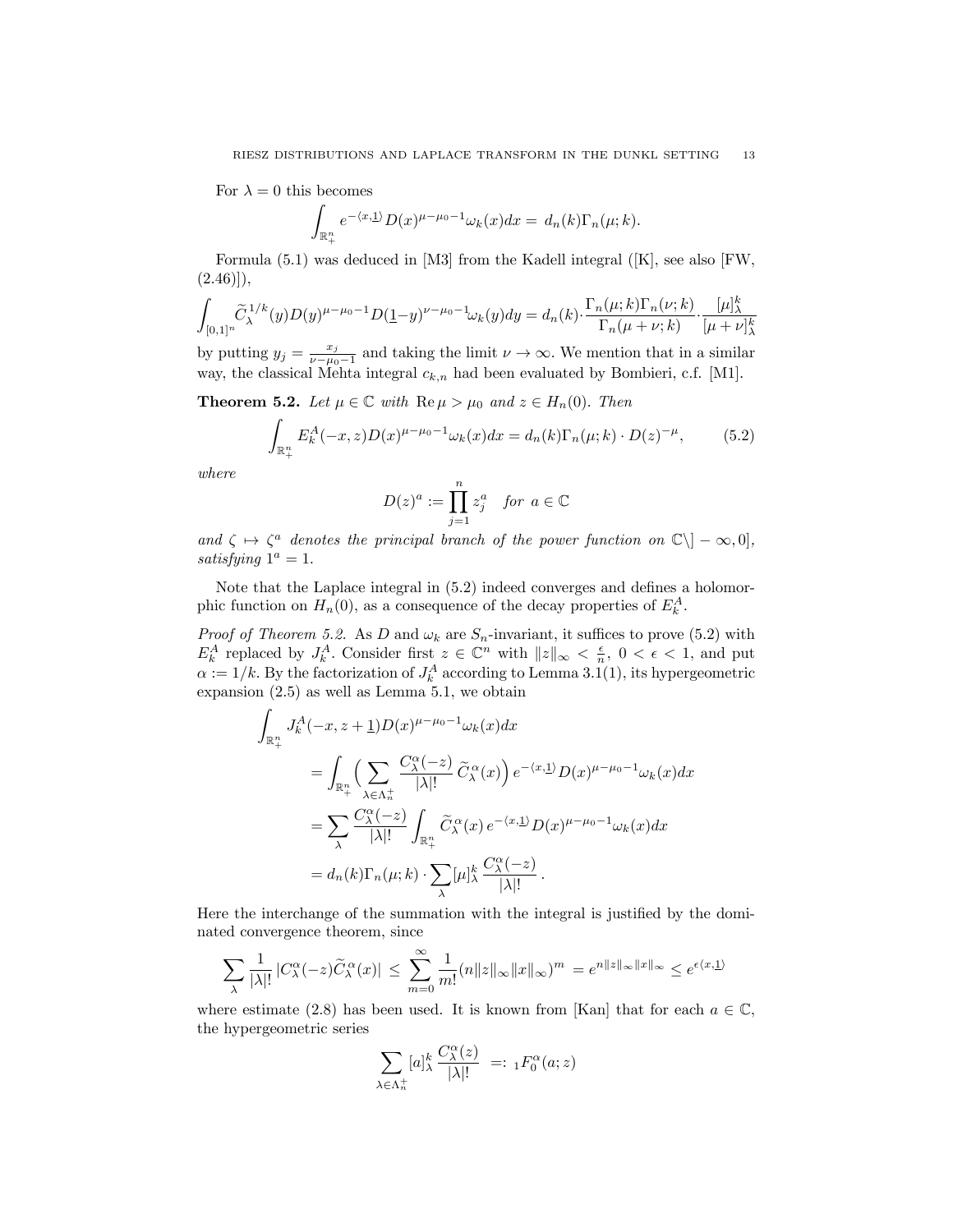For  $\lambda = 0$  this becomes

$$
\int_{\mathbb{R}^n_+} e^{-\langle x,\underline{1}\rangle} D(x)^{\mu-\mu_0-1} \omega_k(x) dx = d_n(k) \Gamma_n(\mu;k).
$$

Formula (5.1) was deduced in [M3] from the Kadell integral ([K], see also [FW,  $(2.46)$ ],

$$
\int_{[0,1]^n} \widetilde{C}_{\lambda}^{1/k}(y)D(y)^{\mu-\mu_0-1}D(\underline{1}-y)^{\nu-\mu_0-1}\omega_k(y)dy = d_n(k) \cdot \frac{\Gamma_n(\mu;k)\Gamma_n(\nu;k)}{\Gamma_n(\mu+\nu;k)} \cdot \frac{[\mu]_{\lambda}^k}{[\mu+\nu]_{\lambda}^k}
$$

by putting  $y_j = \frac{x_j}{\nu - \mu_0 - 1}$  and taking the limit  $\nu \to \infty$ . We mention that in a similar way, the classical Mehta integral  $c_{k,n}$  had been evaluated by Bombieri, c.f. [M1].

**Theorem 5.2.** *Let*  $\mu \in \mathbb{C}$  *with*  $\text{Re}\,\mu > \mu_0$  *and*  $z \in H_n(0)$ *. Then* 

$$
\int_{\mathbb{R}^n_+} E_k^A(-x, z) D(x)^{\mu - \mu_0 - 1} \omega_k(x) dx = d_n(k) \Gamma_n(\mu; k) \cdot D(z)^{-\mu}, \tag{5.2}
$$

*where*

$$
D(z)^a := \prod_{j=1}^n z_j^a \quad \text{for } a \in \mathbb{C}
$$

*and*  $\zeta \mapsto \zeta^a$  *denotes the principal branch of the power function on*  $\mathbb{C}\setminus ]-\infty,0]$ *, satisfying*  $1^a = 1$ *.* 

Note that the Laplace integral in (5.2) indeed converges and defines a holomorphic function on  $H_n(0)$ , as a consequence of the decay properties of  $E_k^A$ .

*Proof of Theorem* 5.2. As *D* and  $\omega_k$  are  $S_n$ -invariant, it suffices to prove (5.2) with  $E_k^A$  replaced by  $J_k^A$ . Consider first  $z \in \mathbb{C}^n$  with  $||z||_{\infty} < \frac{\epsilon}{n}$ ,  $0 < \epsilon < 1$ , and put  $\alpha := 1/k$ . By the factorization of  $J_k^A$  according to Lemma 3.1(1), its hypergeometric expansion (2.5) as well as Lemma 5.1, we obtain

$$
\int_{\mathbb{R}_{+}^{n}} J_{k}^{A}(-x, z + \underline{1}) D(x)^{\mu-\mu_{0}-1} \omega_{k}(x) dx
$$
\n
$$
= \int_{\mathbb{R}_{+}^{n}} \left( \sum_{\lambda \in \Lambda_{n}^{+}} \frac{C_{\lambda}^{\alpha}(-z)}{|\lambda|!} \tilde{C}_{\lambda}^{\alpha}(x) \right) e^{-\langle x, \underline{1} \rangle} D(x)^{\mu-\mu_{0}-1} \omega_{k}(x) dx
$$
\n
$$
= \sum_{\lambda} \frac{C_{\lambda}^{\alpha}(-z)}{|\lambda|!} \int_{\mathbb{R}_{+}^{n}} \tilde{C}_{\lambda}^{\alpha}(x) e^{-\langle x, \underline{1} \rangle} D(x)^{\mu-\mu_{0}-1} \omega_{k}(x) dx
$$
\n
$$
= d_{n}(k) \Gamma_{n}(\mu; k) \cdot \sum_{\lambda} [\mu]_{\lambda}^{k} \frac{C_{\lambda}^{\alpha}(-z)}{|\lambda|!} .
$$

Here the interchange of the summation with the integral is justified by the dominated convergence theorem, since

$$
\sum_{\lambda} \frac{1}{|\lambda|!} |C_{\lambda}^{\alpha}(-z)\widetilde{C}_{\lambda}^{\alpha}(x)| \leq \sum_{m=0}^{\infty} \frac{1}{m!} (n||z||_{\infty} ||x||_{\infty})^m = e^{n||z||_{\infty} ||x||_{\infty}} \leq e^{\epsilon \langle x, \underline{1} \rangle}
$$

where estimate (2.8) has been used. It is known from [Kan] that for each  $a \in \mathbb{C}$ , the hypergeometric series

$$
\sum_{\lambda \in \Lambda_n^+} [a]_{\lambda}^k \frac{C_{\lambda}^{\alpha}(z)}{|\lambda|!} =: {}_1F_0^{\alpha}(a; z)
$$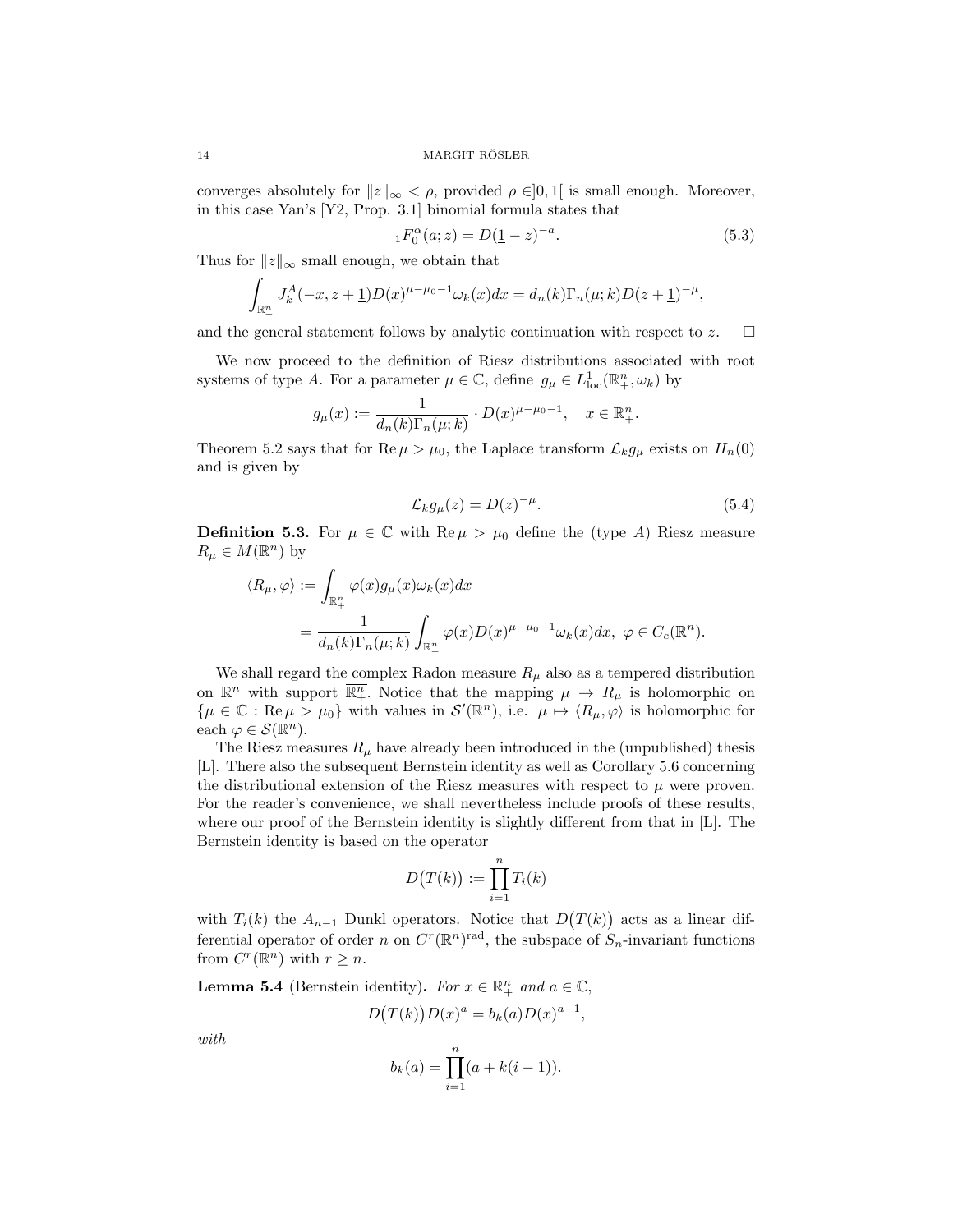14 MARGIT RÖSLER

converges absolutely for  $||z||_{\infty} < \rho$ , provided  $\rho \in ]0,1[$  is small enough. Moreover, in this case Yan's [Y2, Prop. 3.1] binomial formula states that

$$
{}_{1}F_{0}^{\alpha}(a;z) = D(\underline{1} - z)^{-a}.
$$
\n(5.3)

Thus for  $||z||_{\infty}$  small enough, we obtain that

$$
\int_{\mathbb{R}^n_+} J_k^A(-x, z + \underline{1}) D(x)^{\mu - \mu_0 - 1} \omega_k(x) dx = d_n(k) \Gamma_n(\mu; k) D(z + \underline{1})^{-\mu},
$$

and the general statement follows by analytic continuation with respect to  $z$ .  $\Box$ 

We now proceed to the definition of Riesz distributions associated with root systems of type *A*. For a parameter  $\mu \in \mathbb{C}$ , define  $g_{\mu} \in L_{loc}^1(\mathbb{R}^n_+, \omega_k)$  by

$$
g_{\mu}(x) := \frac{1}{d_n(k)\Gamma_n(\mu;k)} \cdot D(x)^{\mu-\mu_0-1}, \quad x \in \mathbb{R}^n_+.
$$

Theorem 5.2 says that for  $\text{Re }\mu > \mu_0$ , the Laplace transform  $\mathcal{L}_k g_\mu$  exists on  $H_n(0)$ and is given by

$$
\mathcal{L}_k g_\mu(z) = D(z)^{-\mu}.\tag{5.4}
$$

**Definition 5.3.** For  $\mu \in \mathbb{C}$  with Re  $\mu > \mu_0$  define the (type A) Riesz measure  $R_\mu \in M(\mathbb{R}^n)$  by

$$
\langle R_{\mu}, \varphi \rangle := \int_{\mathbb{R}^n_+} \varphi(x) g_{\mu}(x) \omega_k(x) dx
$$
  
= 
$$
\frac{1}{d_n(k) \Gamma_n(\mu; k)} \int_{\mathbb{R}^n_+} \varphi(x) D(x)^{\mu - \mu_0 - 1} \omega_k(x) dx, \ \varphi \in C_c(\mathbb{R}^n).
$$

We shall regard the complex Radon measure  $R_\mu$  also as a tempered distribution on  $\mathbb{R}^n$  with support  $\overline{\mathbb{R}^n_+}$ . Notice that the mapping  $\mu \to R_\mu$  is holomorphic on  $\{\mu \in \mathbb{C} : \text{Re } \mu > \mu_0\}$  with values in  $\mathcal{S}'(\mathbb{R}^n)$ , i.e.  $\mu \mapsto \langle R_\mu, \varphi \rangle$  is holomorphic for each  $\varphi \in \mathcal{S}(\mathbb{R}^n)$ .

The Riesz measures  $R_\mu$  have already been introduced in the (unpublished) thesis [L]. There also the subsequent Bernstein identity as well as Corollary 5.6 concerning the distributional extension of the Riesz measures with respect to  $\mu$  were proven. For the reader's convenience, we shall nevertheless include proofs of these results, where our proof of the Bernstein identity is slightly different from that in [L]. The Bernstein identity is based on the operator

$$
D(T(k)) := \prod_{i=1}^{n} T_i(k)
$$

with  $T_i(k)$  the  $A_{n-1}$  Dunkl operators. Notice that  $D(T(k))$  acts as a linear differential operator of order *n* on  $C^r(\mathbb{R}^n)$ <sup>rad</sup>, the subspace of  $S_n$ -invariant functions from  $C^r(\mathbb{R}^n)$  with  $r \geq n$ .

**Lemma 5.4** (Bernstein identity). *For*  $x \in \mathbb{R}^n_+$  *and*  $a \in \mathbb{C}$ ,

$$
D(T(k))D(x)^{a} = b_{k}(a)D(x)^{a-1},
$$

*with*

$$
b_k(a) = \prod_{i=1}^n (a + k(i-1)).
$$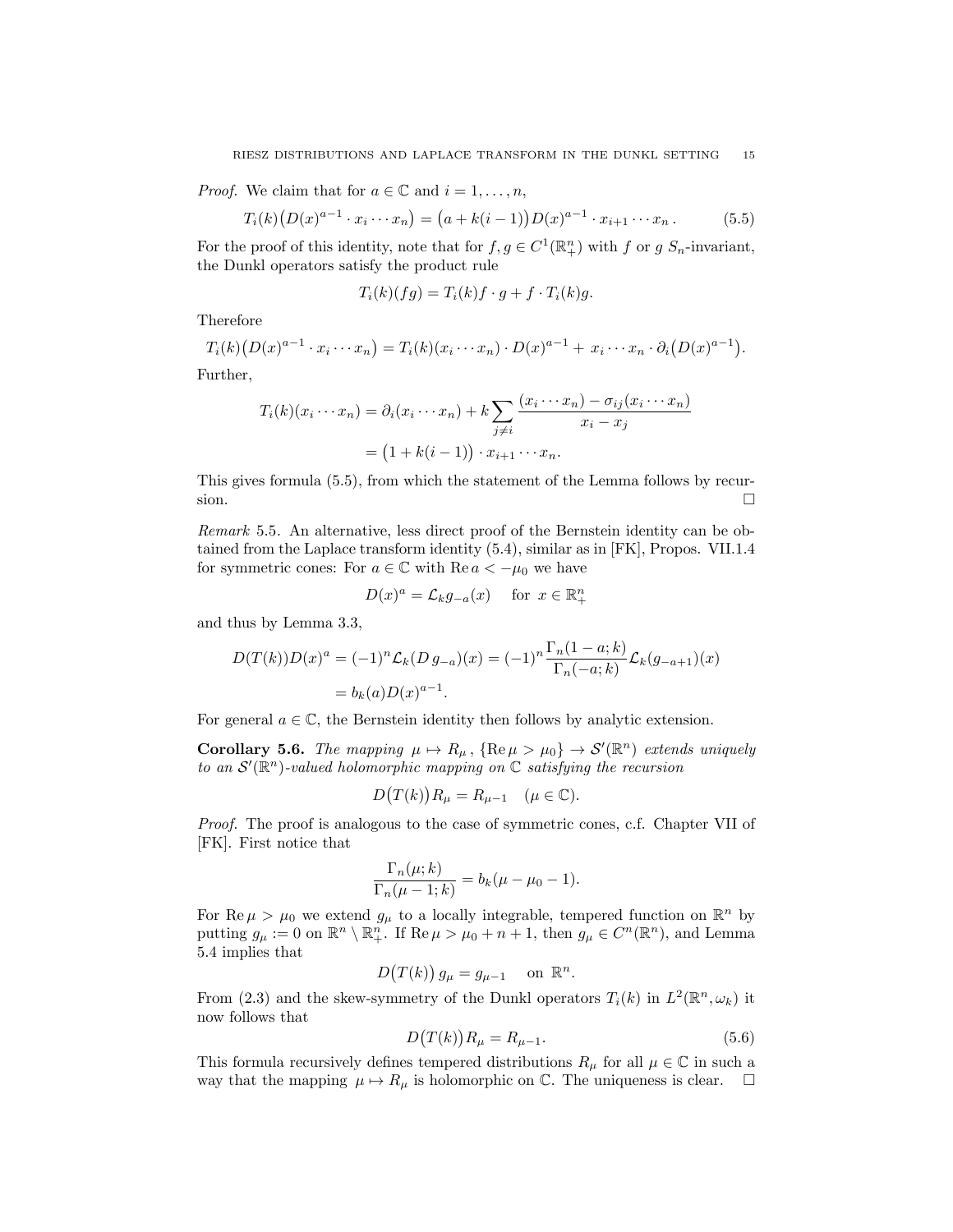*Proof.* We claim that for  $a \in \mathbb{C}$  and  $i = 1, \ldots, n$ ,

$$
T_i(k)\big(D(x)^{a-1} \cdot x_i \cdots x_n\big) = \big(a + k(i-1)\big)D(x)^{a-1} \cdot x_{i+1} \cdots x_n. \tag{5.5}
$$

For the proof of this identity, note that for  $f, g \in C^1(\mathbb{R}^n_+)$  with  $f$  or  $g$   $S_n$ -invariant, the Dunkl operators satisfy the product rule

$$
T_i(k)(fg) = T_i(k)f \cdot g + f \cdot T_i(k)g.
$$

Therefore

$$
T_i(k)\big(D(x)^{a-1}\cdot x_i\cdots x_n\big)=T_i(k)(x_i\cdots x_n)\cdot D(x)^{a-1}+x_i\cdots x_n\cdot \partial_i\big(D(x)^{a-1}\big).
$$

Further,

$$
T_i(k)(x_i \cdots x_n) = \partial_i(x_i \cdots x_n) + k \sum_{j \neq i} \frac{(x_i \cdots x_n) - \sigma_{ij}(x_i \cdots x_n)}{x_i - x_j}
$$

$$
= (1 + k(i - 1)) \cdot x_{i+1} \cdots x_n.
$$

This gives formula (5.5), from which the statement of the Lemma follows by recursion.  $\Box$ 

*Remark* 5.5*.* An alternative, less direct proof of the Bernstein identity can be obtained from the Laplace transform identity (5.4), similar as in [FK], Propos. VII.1.4 for symmetric cones: For  $a \in \mathbb{C}$  with Re  $a < -\mu_0$  we have

$$
D(x)^a = \mathcal{L}_k g_{-a}(x) \quad \text{ for } x \in \mathbb{R}^n_+
$$

and thus by Lemma 3.3,

$$
D(T(k))D(x)^{a} = (-1)^{n} \mathcal{L}_{k}(D g_{-a})(x) = (-1)^{n} \frac{\Gamma_{n}(1-a;k)}{\Gamma_{n}(-a;k)} \mathcal{L}_{k}(g_{-a+1})(x)
$$
  
=  $b_{k}(a)D(x)^{a-1}$ .

For general  $a \in \mathbb{C}$ , the Bernstein identity then follows by analytic extension.

**Corollary 5.6.** *The mapping*  $\mu \mapsto R_{\mu}$ ,  $\{ \text{Re } \mu > \mu_0 \} \rightarrow S'(\mathbb{R}^n)$  *extends uniquely to an S*′ (R*<sup>n</sup>*)*-valued holomorphic mapping on* C *satisfying the recursion*

$$
D(T(k))R_{\mu} = R_{\mu-1} \quad (\mu \in \mathbb{C}).
$$

*Proof.* The proof is analogous to the case of symmetric cones, c.f. Chapter VII of [FK]. First notice that

$$
\frac{\Gamma_n(\mu;k)}{\Gamma_n(\mu-1;k)}=b_k(\mu-\mu_0-1).
$$

For  $\text{Re }\mu > \mu_0$  we extend  $g_\mu$  to a locally integrable, tempered function on  $\mathbb{R}^n$  by putting  $g_{\mu} := 0$  on  $\mathbb{R}^n \setminus \mathbb{R}^n_+$ . If  $\text{Re}\,\mu > \mu_0 + n + 1$ , then  $g_{\mu} \in C^n(\mathbb{R}^n)$ , and Lemma 5.4 implies that

$$
D(T(k)) g_{\mu} = g_{\mu-1} \quad \text{on } \mathbb{R}^n.
$$

From (2.3) and the skew-symmetry of the Dunkl operators  $T_i(k)$  in  $L^2(\mathbb{R}^n, \omega_k)$  it now follows that

$$
D\big(T(k)\big)R_{\mu} = R_{\mu-1}.\tag{5.6}
$$

This formula recursively defines tempered distributions  $R_\mu$  for all  $\mu \in \mathbb{C}$  in such a way that the mapping  $\mu \mapsto R_{\mu}$  is holomorphic on  $\mathbb{C}$ . The uniqueness is clear.  $\Box$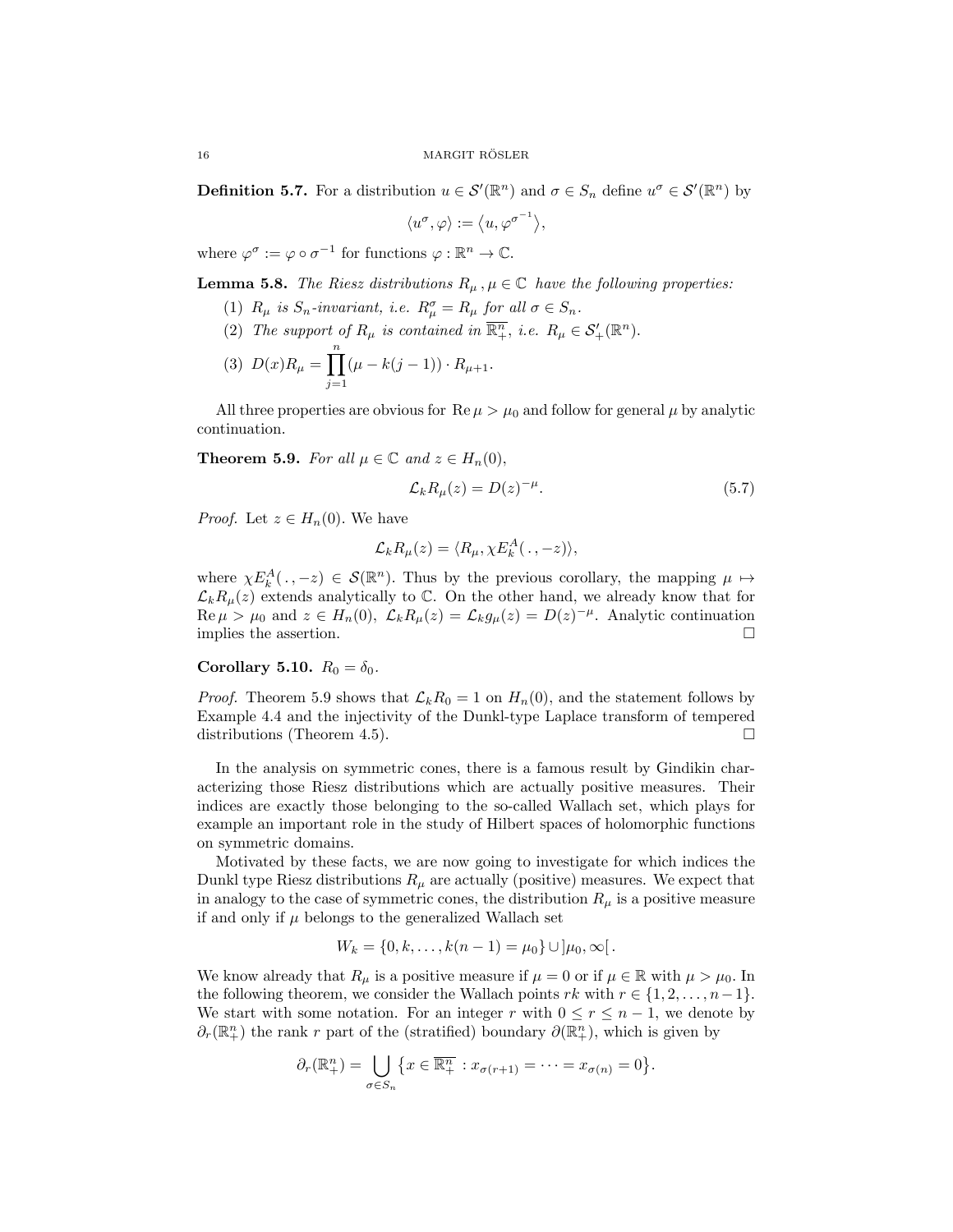**Definition 5.7.** For a distribution  $u \in \mathcal{S}'(\mathbb{R}^n)$  and  $\sigma \in S_n$  define  $u^{\sigma} \in \mathcal{S}'(\mathbb{R}^n)$  by

$$
\langle u^{\sigma}, \varphi \rangle := \langle u, \varphi^{\sigma^{-1}} \rangle,
$$

where  $\varphi^{\sigma} := \varphi \circ \sigma^{-1}$  for functions  $\varphi : \mathbb{R}^n \to \mathbb{C}$ .

**Lemma 5.8.** *The Riesz distributions*  $R_\mu$ ,  $\mu \in \mathbb{C}$  *have the following properties:* 

- (1)  $R_{\mu}$  is  $S_n$ -invariant, i.e.  $R_{\mu}^{\sigma} = R_{\mu}$  for all  $\sigma \in S_n$ .
- (2) *The support of*  $R_{\mu}$  *is contained in*  $\overline{\mathbb{R}^n_+}$ *, i.e.*  $R_{\mu} \in \mathcal{S}'_+(\mathbb{R}^n)$ *.*

(3) 
$$
D(x)R_{\mu} = \prod_{j=1}^{n} (\mu - k(j-1)) \cdot R_{\mu+1}.
$$

All three properties are obvious for  $\text{Re }\mu > \mu_0$  and follow for general  $\mu$  by analytic continuation.

**Theorem 5.9.** *For all*  $\mu \in \mathbb{C}$  *and*  $z \in H_n(0)$ *,* 

$$
\mathcal{L}_k R_\mu(z) = D(z)^{-\mu}.\tag{5.7}
$$

*Proof.* Let  $z \in H_n(0)$ . We have

$$
\mathcal{L}_k R_\mu(z) = \langle R_\mu, \chi E_k^A(\,.\,,-z) \rangle,
$$

where  $\chi E_k^A(\,\cdot\,,-z) \in \mathcal{S}(\mathbb{R}^n)$ . Thus by the previous corollary, the mapping  $\mu \mapsto$  $\mathcal{L}_k R_\mu(z)$  extends analytically to  $\mathbb{C}$ . On the other hand, we already know that for Re  $\mu > \mu_0$  and  $z \in H_n(0)$ *,*  $\mathcal{L}_k R_\mu(z) = \mathcal{L}_k g_\mu(z) = D(z)^{-\mu}$ . Analytic continuation implies the assertion. □ implies the assertion.

## **Corollary 5.10.**  $R_0 = \delta_0$ .

*Proof.* Theorem 5.9 shows that  $\mathcal{L}_k R_0 = 1$  on  $H_n(0)$ , and the statement follows by Example 4.4 and the injectivity of the Dunkl-type Laplace transform of tempered distributions (Theorem 4.5).  $\Box$ 

In the analysis on symmetric cones, there is a famous result by Gindikin characterizing those Riesz distributions which are actually positive measures. Their indices are exactly those belonging to the so-called Wallach set, which plays for example an important role in the study of Hilbert spaces of holomorphic functions on symmetric domains.

Motivated by these facts, we are now going to investigate for which indices the Dunkl type Riesz distributions  $R_\mu$  are actually (positive) measures. We expect that in analogy to the case of symmetric cones, the distribution  $R_\mu$  is a positive measure if and only if  $\mu$  belongs to the generalized Wallach set

$$
W_k = \{0, k, \ldots, k(n-1) = \mu_0\} \cup \, ]\mu_0, \infty[
$$

We know already that  $R_\mu$  is a positive measure if  $\mu = 0$  or if  $\mu \in \mathbb{R}$  with  $\mu > \mu_0$ . In the following theorem, we consider the Wallach points  $rk$  with  $r \in \{1, 2, \ldots, n-1\}$ . We start with some notation. For an integer *r* with  $0 \leq r \leq n-1$ , we denote by  $∂<sub>r</sub>(ℝ<sup>n</sup><sub>+</sub>)$  the rank *r* part of the (stratified) boundary  $∂(ℝ<sup>n</sup><sub>+</sub>)$ , which is given by

$$
\partial_r(\mathbb{R}^n_+) = \bigcup_{\sigma \in S_n} \{ x \in \overline{\mathbb{R}^n_+} : x_{\sigma(r+1)} = \cdots = x_{\sigma(n)} = 0 \}.
$$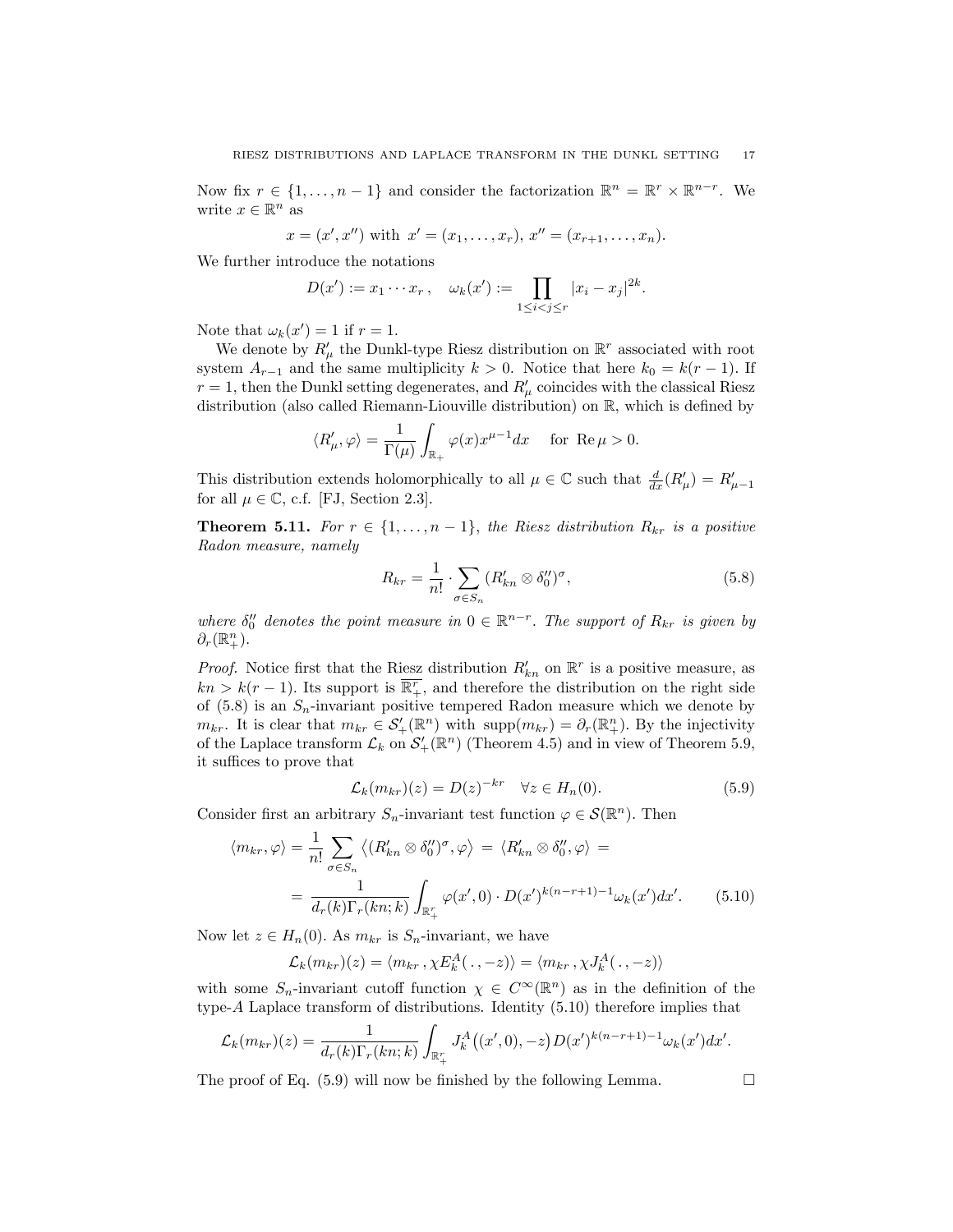Now fix  $r \in \{1, \ldots, n-1\}$  and consider the factorization  $\mathbb{R}^n = \mathbb{R}^r \times \mathbb{R}^{n-r}$ . We write  $x \in \mathbb{R}^n$  as

$$
x = (x', x'')
$$
 with  $x' = (x_1, ..., x_r), x'' = (x_{r+1}, ..., x_n)$ .

We further introduce the notations

$$
D(x') := x_1 \cdots x_r, \quad \omega_k(x') := \prod_{1 \leq i < j \leq r} |x_i - x_j|^{2k}.
$$

Note that  $\omega_k(x') = 1$  if  $r = 1$ .

We denote by  $R'_{\mu}$  the Dunkl-type Riesz distribution on  $\mathbb{R}^r$  associated with root system  $A_{r-1}$  and the same multiplicity  $k > 0$ . Notice that here  $k_0 = k(r-1)$ . If  $r = 1$ , then the Dunkl setting degenerates, and  $R'_{\mu}$  coincides with the classical Riesz distribution (also called Riemann-Liouville distribution) on R, which is defined by

$$
\langle R_\mu^\prime,\varphi\rangle=\frac{1}{\Gamma(\mu)}\int_{\mathbb{R}_+}\varphi(x)x^{\mu-1}dx\quad\text{ for } \operatorname{Re}\mu>0.
$$

This distribution extends holomorphically to all  $\mu \in \mathbb{C}$  such that  $\frac{d}{dx}(R'_{\mu}) = R'_{\mu-1}$ for all  $\mu \in \mathbb{C}$ , c.f. [FJ, Section 2.3].

**Theorem 5.11.** For  $r \in \{1, \ldots, n-1\}$ , the Riesz distribution  $R_{kr}$  is a positive *Radon measure, namely*

$$
R_{kr} = \frac{1}{n!} \cdot \sum_{\sigma \in S_n} (R'_{kn} \otimes \delta_0'')^{\sigma},\tag{5.8}
$$

*where*  $\delta''_0$  *denotes the point measure in*  $0 \in \mathbb{R}^{n-r}$ *. The support of*  $R_{kr}$  *is given by*  $\partial_r(\mathbb{R}^n_+).$ 

*Proof.* Notice first that the Riesz distribution  $R'_{kn}$  on  $\mathbb{R}^r$  is a positive measure, as  $kn > k(r-1)$ . Its support is  $\overline{\mathbb{R}^r_+}$ , and therefore the distribution on the right side of  $(5.8)$  is an  $S_n$ -invariant positive tempered Radon measure which we denote by  $m_{kr}$ . It is clear that  $m_{kr} \in S'_{+}(\mathbb{R}^n)$  with  $\text{supp}(m_{kr}) = \partial_r(\mathbb{R}^n_+)$ . By the injectivity of the Laplace transform  $\mathcal{L}_k$  on  $\mathcal{S}'_+(\mathbb{R}^n)$  (Theorem 4.5) and in view of Theorem 5.9, it suffices to prove that

$$
\mathcal{L}_k(m_{kr})(z) = D(z)^{-kr} \quad \forall z \in H_n(0). \tag{5.9}
$$

Consider first an arbitrary  $S_n$ -invariant test function  $\varphi \in \mathcal{S}(\mathbb{R}^n)$ . Then

$$
\langle m_{kr}, \varphi \rangle = \frac{1}{n!} \sum_{\sigma \in S_n} \langle (R'_{kn} \otimes \delta''_0)^{\sigma}, \varphi \rangle = \langle R'_{kn} \otimes \delta''_0, \varphi \rangle =
$$
  
= 
$$
\frac{1}{d_r(k)\Gamma_r(kn;k)} \int_{\mathbb{R}_+^r} \varphi(x',0) \cdot D(x')^{k(n-r+1)-1} \omega_k(x') dx'.
$$
 (5.10)

Now let  $z \in H_n(0)$ . As  $m_{kr}$  is  $S_n$ -invariant, we have

$$
\mathcal{L}_k(m_{kr})(z) = \langle m_{kr}, \chi E_k^A(\cdot, -z) \rangle = \langle m_{kr}, \chi J_k^A(\cdot, -z) \rangle
$$

with some  $S_n$ -invariant cutoff function  $\chi \in C^\infty(\mathbb{R}^n)$  as in the definition of the type-*A* Laplace transform of distributions. Identity (5.10) therefore implies that

$$
\mathcal{L}_k(m_{kr})(z) = \frac{1}{d_r(k)\Gamma_r(kn;k)} \int_{\mathbb{R}_+^r} J_k^A((x',0),-z) D(x')^{k(n-r+1)-1} \omega_k(x') dx'.
$$

The proof of Eq.  $(5.9)$  will now be finished by the following Lemma.  $\Box$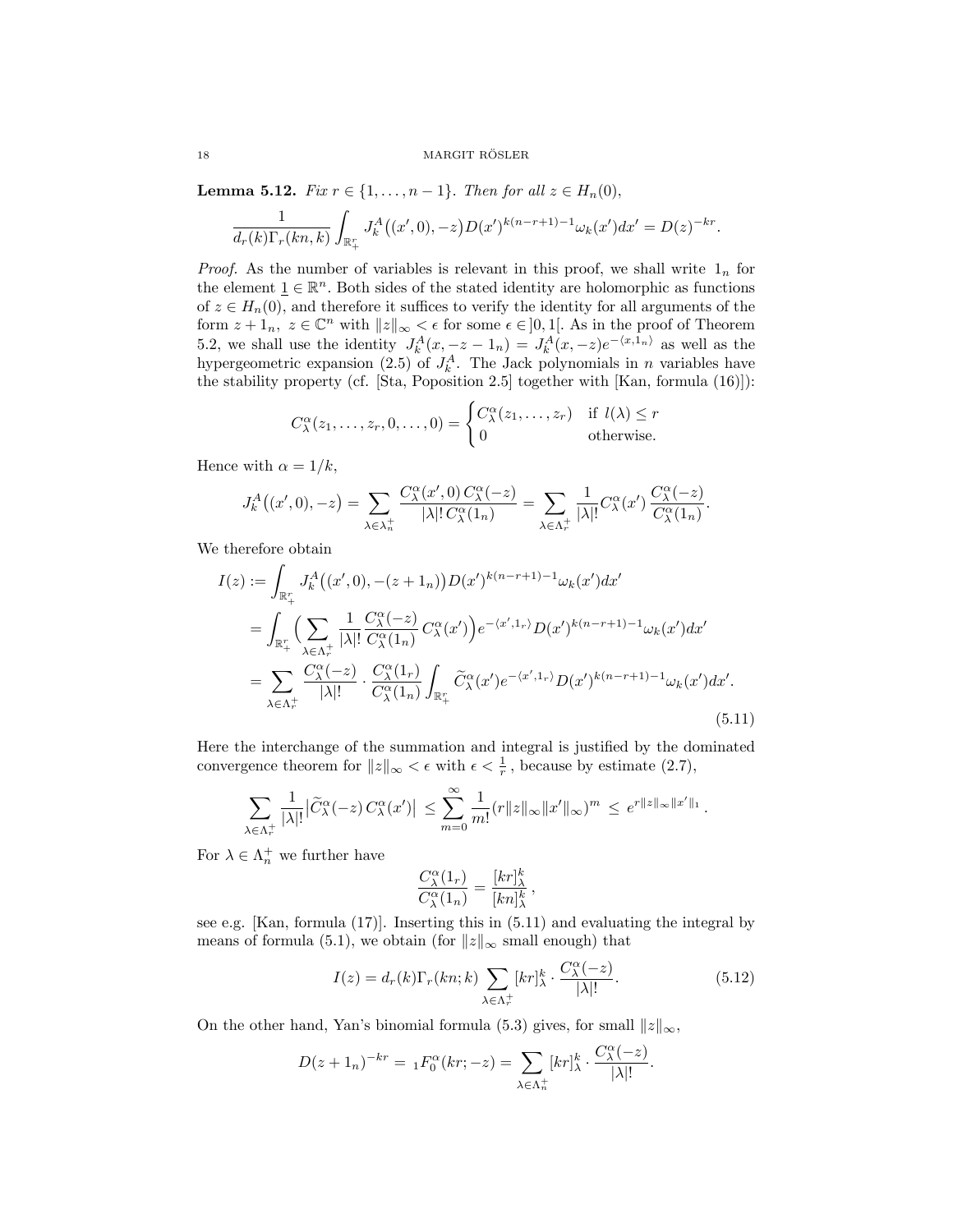**Lemma 5.12.** *Fix*  $r \in \{1, \ldots, n-1\}$ *. Then for all*  $z \in H_n(0)$ *,* 

$$
\frac{1}{d_r(k)\Gamma_r(kn,k)}\int_{\mathbb{R}_+^r} J_k^A((x',0),-z)D(x')^{k(n-r+1)-1}\omega_k(x')dx' = D(z)^{-kr}.
$$

*Proof.* As the number of variables is relevant in this proof, we shall write  $1<sub>n</sub>$  for the element  $\underline{1} \in \mathbb{R}^n$ . Both sides of the stated identity are holomorphic as functions of  $z \in H_n(0)$ , and therefore it suffices to verify the identity for all arguments of the form  $z + 1_n$ ,  $z \in \mathbb{C}^n$  with  $||z||_{\infty} < \epsilon$  for some  $\epsilon \in ]0,1[$ . As in the proof of Theorem 5.2, we shall use the identity  $J_k^A(x, -z - 1_n) = J_k^A(x, -z)e^{-\langle x, 1_n \rangle}$  as well as the hypergeometric expansion (2.5) of  $J_k^A$ . The Jack polynomials in *n* variables have the stability property (cf. [Sta, Poposition 2.5] together with [Kan, formula (16)]):

$$
C^{\alpha}_{\lambda}(z_1,\ldots,z_r,0,\ldots,0) = \begin{cases} C^{\alpha}_{\lambda}(z_1,\ldots,z_r) & \text{if } l(\lambda) \leq r \\ 0 & \text{otherwise.} \end{cases}
$$

Hence with  $\alpha = 1/k$ ,

$$
J_k^A((x',0),-z) = \sum_{\lambda \in \lambda_n^+} \frac{C_\lambda^\alpha(x',0) C_\lambda^\alpha(-z)}{|\lambda|! C_\lambda^\alpha(1_n)} = \sum_{\lambda \in \Lambda_r^+} \frac{1}{|\lambda|!} C_\lambda^\alpha(x') \frac{C_\lambda^\alpha(-z)}{C_\lambda^\alpha(1_n)}.
$$

We therefore obtain

$$
I(z) := \int_{\mathbb{R}_+^r} J_k^A((x', 0), -(z+1_n)) D(x')^{k(n-r+1)-1} \omega_k(x') dx'
$$
  
\n
$$
= \int_{\mathbb{R}_+^r} \Big( \sum_{\lambda \in \Lambda_r^+} \frac{1}{|\lambda|!} \frac{C_{\lambda}^{\alpha}(-z)}{C_{\lambda}^{\alpha}(1_n)} C_{\lambda}^{\alpha}(x') \Big) e^{-\langle x', 1_r \rangle} D(x')^{k(n-r+1)-1} \omega_k(x') dx'
$$
  
\n
$$
= \sum_{\lambda \in \Lambda_r^+} \frac{C_{\lambda}^{\alpha}(-z)}{|\lambda|!} \cdot \frac{C_{\lambda}^{\alpha}(1_r)}{C_{\lambda}^{\alpha}(1_n)} \int_{\mathbb{R}_+^r} \widetilde{C}_{\lambda}^{\alpha}(x') e^{-\langle x', 1_r \rangle} D(x')^{k(n-r+1)-1} \omega_k(x') dx'.
$$
\n(5.11)

Here the interchange of the summation and integral is justified by the dominated convergence theorem for  $||z||_{\infty} < \epsilon$  with  $\epsilon < \frac{1}{r}$ , because by estimate (2.7),

$$
\sum_{\lambda\in\Lambda_r^+}\frac{1}{|\lambda|!}\big|\widetilde{C}^{\alpha}_{\lambda}(-z)\,C^{\alpha}_{\lambda}(x')\big|\,\leq\sum_{m=0}^{\infty}\frac{1}{m!}(r\|z\|_{\infty}\|x'\|_{\infty})^m\,\leq\,e^{r\|z\|_{\infty}\|x'\|_1}\,.
$$

For  $\lambda \in \Lambda_n^+$  we further have

$$
\frac{C^{\alpha}_{\lambda}(1_r)}{C^{\alpha}_{\lambda}(1_n)} = \frac{[kr]_{\lambda}^k}{[kn]_{\lambda}^k},
$$

see e.g. [Kan, formula (17)]. Inserting this in (5.11) and evaluating the integral by means of formula (5.1), we obtain (for  $||z||_{\infty}$  small enough) that

$$
I(z) = d_r(k)\Gamma_r(kn;k) \sum_{\lambda \in \Lambda_r^+} [kr]_{\lambda}^k \cdot \frac{C_{\lambda}^{\alpha}(-z)}{|\lambda|!}.
$$
 (5.12)

On the other hand, Yan's binomial formula (5.3) gives, for small  $||z||_{\infty}$ ,

$$
D(z+1_n)^{-kr} = {}_1F_0^{\alpha}(kr; -z) = \sum_{\lambda \in \Lambda_n^+} [kr]_{\lambda}^k \cdot \frac{C_{\lambda}^{\alpha}(-z)}{|\lambda|!}.
$$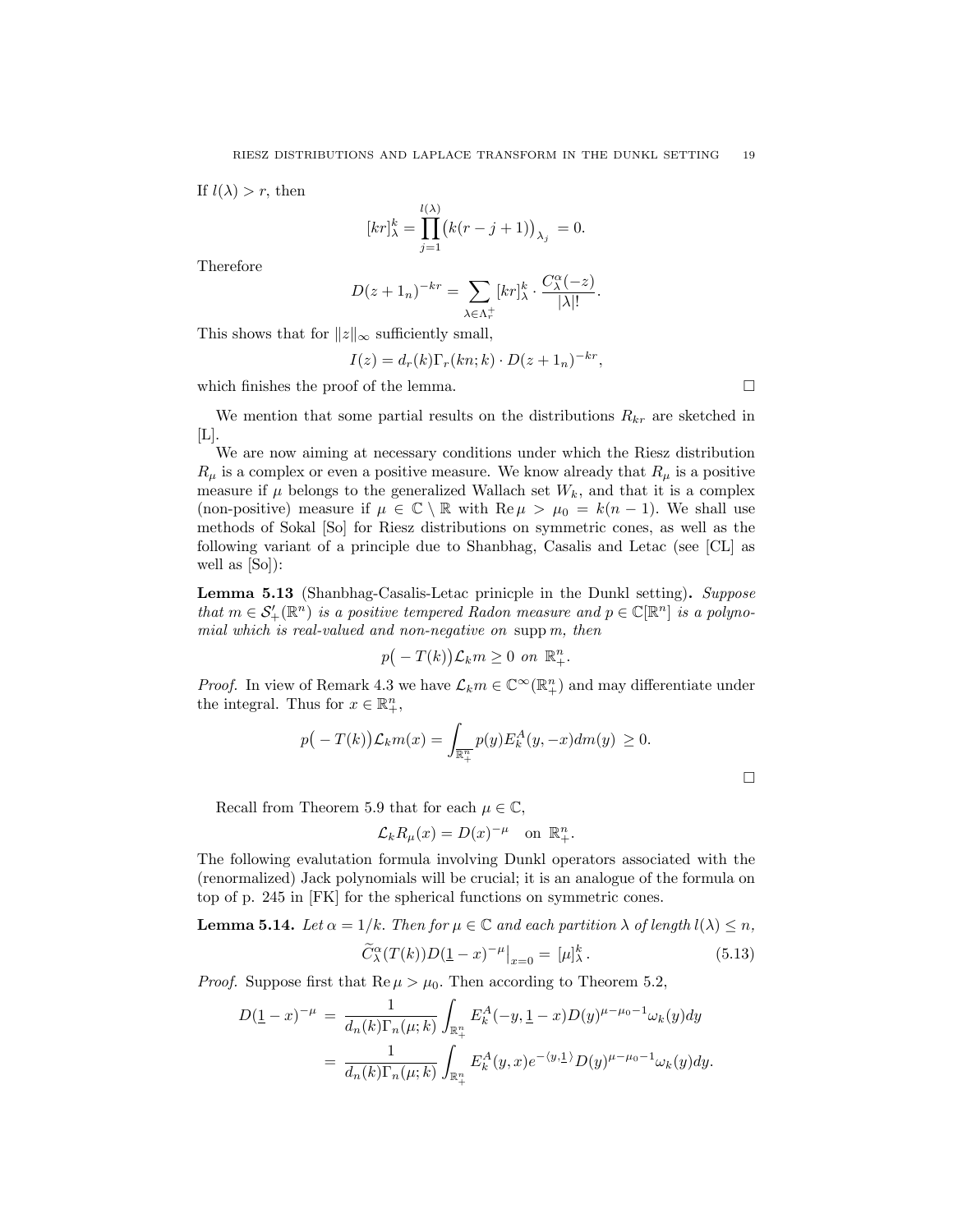If  $l(\lambda) > r$ , then

$$
[kr]_{\lambda}^{k} = \prod_{j=1}^{l(\lambda)} (k(r-j+1))_{\lambda_j} = 0.
$$

Therefore

$$
D(z+1_n)^{-kr} = \sum_{\lambda \in \Lambda_r^+} [kr]_{\lambda}^k \cdot \frac{C_{\lambda}^{\alpha}(-z)}{|\lambda|!}.
$$

This shows that for  $||z||_{\infty}$  sufficiently small,

$$
I(z) = d_r(k) \Gamma_r(kn; k) \cdot D(z+1_n)^{-kr},
$$

which finishes the proof of the lemma.  $\Box$ 

We mention that some partial results on the distributions *Rkr* are sketched in  $[L]$ .

We are now aiming at necessary conditions under which the Riesz distribution  $R_\mu$  is a complex or even a positive measure. We know already that  $R_\mu$  is a positive measure if  $\mu$  belongs to the generalized Wallach set  $W_k$ , and that it is a complex (non-positive) measure if  $\mu \in \mathbb{C} \setminus \mathbb{R}$  with  $\text{Re } \mu > \mu_0 = k(n-1)$ . We shall use methods of Sokal [So] for Riesz distributions on symmetric cones, as well as the following variant of a principle due to Shanbhag, Casalis and Letac (see [CL] as well as [So]):

Lemma 5.13 (Shanbhag-Casalis-Letac prinicple in the Dunkl setting). *Suppose that*  $m \in S'_{+}(\mathbb{R}^{n})$  *is a positive tempered Radon measure and*  $p \in \mathbb{C}[\mathbb{R}^{n}]$  *is a polynomial which is real-valued and non-negative on* supp *m, then*

$$
p(-T(k))\mathcal{L}_k m \ge 0 \text{ on } \mathbb{R}^n_+.
$$

*Proof.* In view of Remark 4.3 we have  $\mathcal{L}_k m \in \mathbb{C}^\infty(\mathbb{R}^n_+)$  and may differentiate under the integral. Thus for  $x \in \mathbb{R}^n_+$ ,

$$
p(-T(k))\mathcal{L}_km(x) = \int_{\overline{\mathbb{R}^n_+}} p(y)E_k^A(y, -x)dm(y) \ge 0.
$$

Recall from Theorem 5.9 that for each  $\mu \in \mathbb{C}$ ,

$$
\mathcal{L}_k R_\mu(x) = D(x)^{-\mu} \quad \text{on } \mathbb{R}^n_+.
$$

The following evalutation formula involving Dunkl operators associated with the (renormalized) Jack polynomials will be crucial; it is an analogue of the formula on top of p. 245 in [FK] for the spherical functions on symmetric cones.

**Lemma 5.14.** Let 
$$
\alpha = 1/k
$$
. Then for  $\mu \in \mathbb{C}$  and each partition  $\lambda$  of length  $l(\lambda) \leq n$ ,  
\n
$$
\widetilde{C}_{\lambda}^{\alpha}(T(k))D(\underline{1} - x)^{-\mu}|_{x=0} = [\mu]_{\lambda}^{k}.
$$
\n(5.13)

*Proof.* Suppose first that  $\text{Re }\mu > \mu_0$ . Then according to Theorem 5.2,

$$
D(\underline{1} - x)^{-\mu} = \frac{1}{d_n(k)\Gamma_n(\mu;k)} \int_{\mathbb{R}^n_+} E_k^A(-y, \underline{1} - x) D(y)^{\mu - \mu_0 - 1} \omega_k(y) dy
$$
  
= 
$$
\frac{1}{d_n(k)\Gamma_n(\mu;k)} \int_{\mathbb{R}^n_+} E_k^A(y, x) e^{-\langle y, \underline{1} \rangle} D(y)^{\mu - \mu_0 - 1} \omega_k(y) dy.
$$

□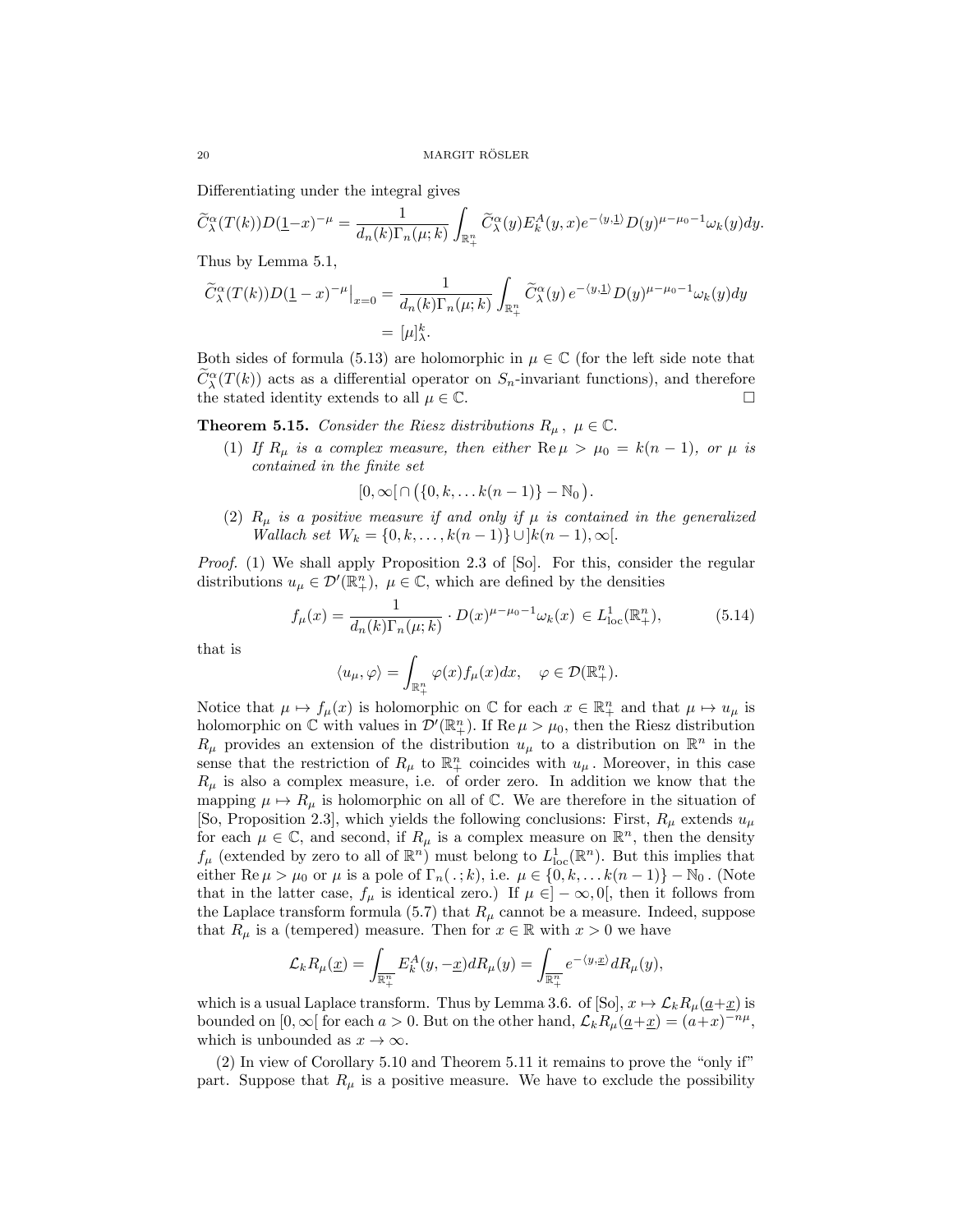Differentiating under the integral gives

$$
\widetilde{C}^{\alpha}_{\lambda}(T(k))D(\underline{1}-x)^{-\mu} = \frac{1}{d_n(k)\Gamma_n(\mu;k)}\int_{\mathbb{R}^n_+}\widetilde{C}^{\alpha}_{\lambda}(y)E^A_k(y,x)e^{-\langle y,\underline{1}\rangle}D(y)^{\mu-\mu_0-1}\omega_k(y)dy.
$$

Thus by Lemma 5.1,

$$
\widetilde{C}_{\lambda}^{\alpha}(T(k))D(\underline{1}-x)^{-\mu}|_{x=0} = \frac{1}{d_n(k)\Gamma_n(\mu;k)} \int_{\mathbb{R}_+^n} \widetilde{C}_{\lambda}^{\alpha}(y) e^{-\langle y, \underline{1} \rangle} D(y)^{\mu-\mu_0-1} \omega_k(y) dy
$$

$$
= [\mu]_{\lambda}^k.
$$

Both sides of formula (5.13) are holomorphic in  $\mu \in \mathbb{C}$  (for the left side note that  $C^{\alpha}_{\lambda}(T(k))$  acts as a differential operator on  $S_n$ -invariant functions), and therefore the stated identity extends to all  $\mu \in \mathbb{C}$ .  $\Box$ 

**Theorem 5.15.** *Consider the Riesz distributions*  $R_{\mu}$ ,  $\mu \in \mathbb{C}$ *.* 

(1) If  $R_\mu$  is a complex measure, then either  $\text{Re}\,\mu > \mu_0 = k(n-1)$ , or  $\mu$  is *contained in the finite set*

$$
[0,\infty[\cap(\{0,k,\ldots k(n-1)\}-\mathbb{N}_0).
$$

(2)  $R_\mu$  *is* a positive measure if and only if  $\mu$  *is* contained *in* the generalized  $Wallach set W_k = \{0, k, \ldots, k(n-1)\} \cup [k(n-1), \infty]$ .

*Proof.* (1) We shall apply Proposition 2.3 of [So]. For this, consider the regular distributions  $u_{\mu} \in \mathcal{D}'(\mathbb{R}^n_+)$ ,  $\mu \in \mathbb{C}$ , which are defined by the densities

$$
f_{\mu}(x) = \frac{1}{d_n(k)\Gamma_n(\mu;k)} \cdot D(x)^{\mu-\mu_0-1}\omega_k(x) \in L^1_{loc}(\mathbb{R}^n_+),\tag{5.14}
$$

that is

$$
\langle u_\mu, \varphi \rangle = \int_{\mathbb{R}^n_+} \varphi(x) f_\mu(x) dx, \quad \varphi \in \mathcal{D}(\mathbb{R}^n_+).
$$

Notice that  $\mu \mapsto f_{\mu}(x)$  is holomorphic on  $\mathbb C$  for each  $x \in \mathbb{R}^n_+$  and that  $\mu \mapsto u_{\mu}$  is holomorphic on  $\mathbb{C}$  with values in  $\mathcal{D}'(\mathbb{R}^n_+)$ . If  $\text{Re }\mu > \mu_0$ , then the Riesz distribution  $R_\mu$  provides an extension of the distribution  $u_\mu$  to a distribution on  $\mathbb{R}^n$  in the sense that the restriction of  $R_\mu$  to  $\mathbb{R}^n_+$  coincides with  $u_\mu$ . Moreover, in this case  $R<sub>\mu</sub>$  is also a complex measure, i.e. of order zero. In addition we know that the mapping  $\mu \mapsto R_{\mu}$  is holomorphic on all of  $\mathbb{C}$ . We are therefore in the situation of [So, Proposition 2.3], which yields the following conclusions: First,  $R_\mu$  extends  $u_\mu$ for each  $\mu \in \mathbb{C}$ , and second, if  $R_{\mu}$  is a complex measure on  $\mathbb{R}^{n}$ , then the density  $f_{\mu}$  (extended by zero to all of  $\mathbb{R}^n$ ) must belong to  $L^1_{loc}(\mathbb{R}^n)$ . But this implies that either Re  $\mu > \mu_0$  or  $\mu$  is a pole of  $\Gamma_n(.;k)$ , i.e.  $\mu \in \{0, k, \ldots k(n-1)\} - \mathbb{N}_0$ . (Note that in the latter case,  $f_{\mu}$  is identical zero.) If  $\mu \in ]-\infty,0[$ , then it follows from the Laplace transform formula (5.7) that  $R<sub>\mu</sub>$  cannot be a measure. Indeed, suppose that  $R_\mu$  is a (tempered) measure. Then for  $x \in \mathbb{R}$  with  $x > 0$  we have

$$
\mathcal{L}_kR_\mu(\underline{x})=\int_{\overline{\mathbb{R}^n_+}}E^A_k(y,-\underline{x})dR_\mu(y)=\int_{\overline{\mathbb{R}^n_+}}e^{-\langle y,\underline{x}\rangle}dR_\mu(y),
$$

which is a usual Laplace transform. Thus by Lemma 3.6. of  $[So], x \mapsto \mathcal{L}_k R_\mu(\underline{a}+\underline{x})$  is bounded on  $[0, \infty)$  for each  $a > 0$ . But on the other hand,  $\mathcal{L}_k R_\mu(\underline{a}+\underline{x}) = (a+x)^{-n\mu}$ , which is unbounded as  $x \to \infty$ *.* 

(2) In view of Corollary 5.10 and Theorem 5.11 it remains to prove the "only if" part. Suppose that  $R_\mu$  is a positive measure. We have to exclude the possibility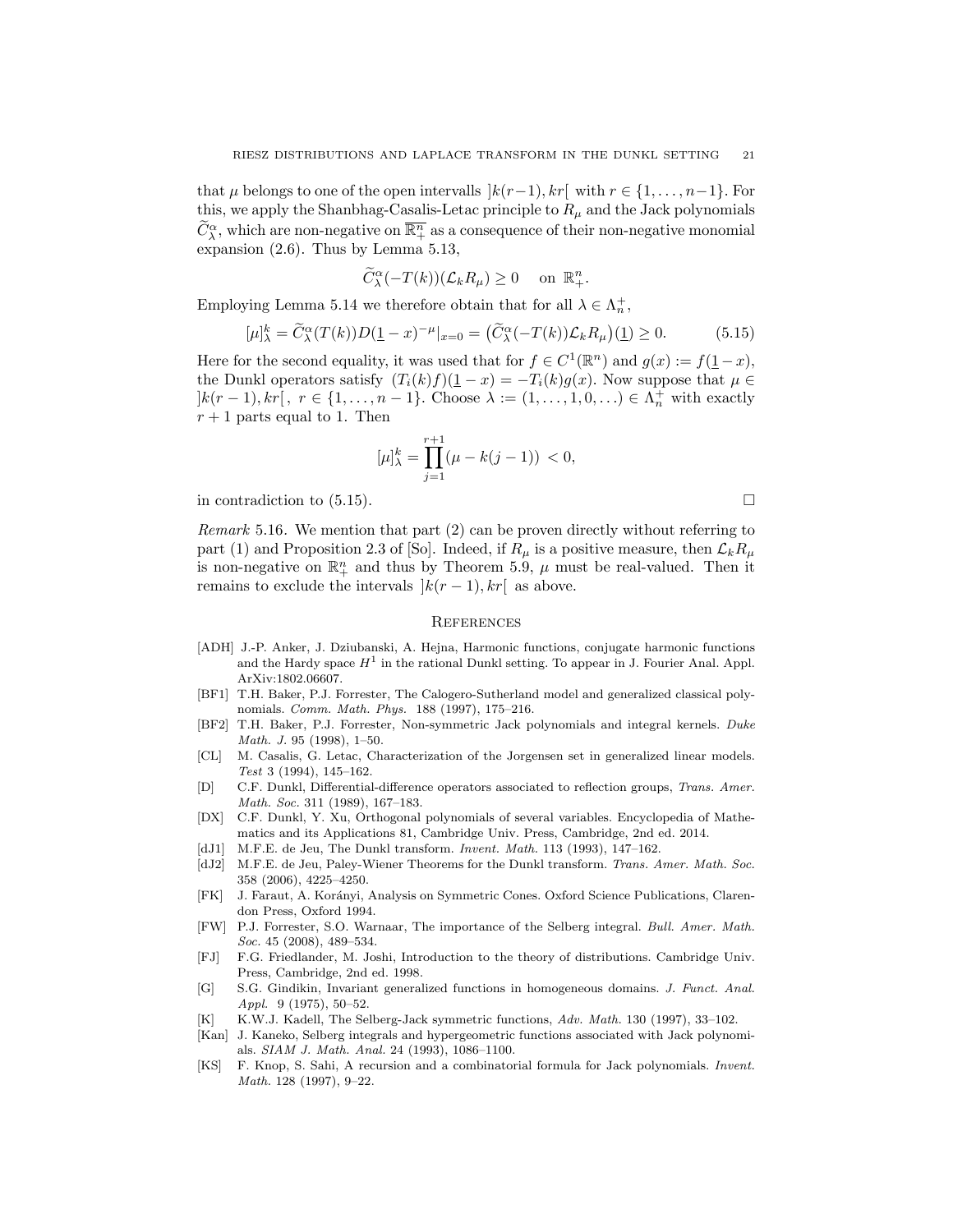that  $\mu$  belongs to one of the open intervalls  $\vert k(r-1), k r \vert \text{ with } r \in \{1, \ldots, n-1\}$ . For this, we apply the Shanbhag-Casalis-Letac principle to  $R_\mu$  and the Jack polynomials  $\widehat{C}_{\lambda}^{\alpha}$ , which are non-negative on  $\overline{\mathbb{R}^n_+}$  as a consequence of their non-negative monomial expansion (2.6). Thus by Lemma 5.13,

$$
\widetilde{C}_{\lambda}^{\alpha}(-T(k))(\mathcal{L}_k R_{\mu}) \ge 0 \quad \text{ on } \mathbb{R}^n_+.
$$

Employing Lemma 5.14 we therefore obtain that for all  $\lambda \in \Lambda_n^+$ ,

$$
[\mu]_{\lambda}^{k} = \widetilde{C}_{\lambda}^{\alpha}(T(k))D(\underline{1} - x)^{-\mu}|_{x=0} = \left(\widetilde{C}_{\lambda}^{\alpha}(-T(k))\mathcal{L}_{k}R_{\mu}\right)(\underline{1}) \ge 0. \tag{5.15}
$$

Here for the second equality, it was used that for  $f \in C^1(\mathbb{R}^n)$  and  $g(x) := f(1-x)$ , the Dunkl operators satisfy  $(T_i(k)f)(\underline{1} - x) = -T_i(k)g(x)$ . Now suppose that  $\mu \in$  $]k(r-1), kr[, r \in \{1, ..., n-1\}$ . Choose  $\lambda := (1, ..., 1, 0, ...) \in \Lambda_n^+$  with exactly  $r + 1$  parts equal to 1. Then

$$
[\mu]_{\lambda}^{k} = \prod_{j=1}^{r+1} (\mu - k(j-1)) < 0,
$$

in contradiction to  $(5.15)$ .

*Remark* 5.16*.* We mention that part (2) can be proven directly without referring to part (1) and Proposition 2.3 of [So]. Indeed, if  $R_\mu$  is a positive measure, then  $\mathcal{L}_k R_\mu$ is non-negative on  $\mathbb{R}^n_+$  and thus by Theorem 5.9,  $\mu$  must be real-valued. Then it remains to exclude the intervals  $|k(r-1), kr|$  as above.

#### **REFERENCES**

- [ADH] J.-P. Anker, J. Dziubanski, A. Hejna, Harmonic functions, conjugate harmonic functions and the Hardy space  $H^1$  in the rational Dunkl setting. To appear in J. Fourier Anal. Appl. ArXiv:1802.06607.
- [BF1] T.H. Baker, P.J. Forrester, The Calogero-Sutherland model and generalized classical polynomials. *Comm. Math. Phys.* 188 (1997), 175–216.
- [BF2] T.H. Baker, P.J. Forrester, Non-symmetric Jack polynomials and integral kernels. *Duke Math. J.* 95 (1998), 1–50.
- [CL] M. Casalis, G. Letac, Characterization of the Jorgensen set in generalized linear models. *Test* 3 (1994), 145–162.
- [D] C.F. Dunkl, Differential-difference operators associated to reflection groups, *Trans. Amer. Math. Soc.* 311 (1989), 167–183.
- [DX] C.F. Dunkl, Y. Xu, Orthogonal polynomials of several variables. Encyclopedia of Mathematics and its Applications 81, Cambridge Univ. Press, Cambridge, 2nd ed. 2014.
- [dJ1] M.F.E. de Jeu, The Dunkl transform. *Invent. Math.* 113 (1993), 147–162.
- [dJ2] M.F.E. de Jeu, Paley-Wiener Theorems for the Dunkl transform. *Trans. Amer. Math. Soc.* 358 (2006), 4225–4250.
- [FK] J. Faraut, A. Korányi, Analysis on Symmetric Cones. Oxford Science Publications, Clarendon Press, Oxford 1994.
- [FW] P.J. Forrester, S.O. Warnaar, The importance of the Selberg integral. *Bull. Amer. Math. Soc.* 45 (2008), 489–534.
- [FJ] F.G. Friedlander, M. Joshi, Introduction to the theory of distributions. Cambridge Univ. Press, Cambridge, 2nd ed. 1998.
- [G] S.G. Gindikin, Invariant generalized functions in homogeneous domains. *J. Funct. Anal. Appl.* 9 (1975), 50–52.
- [K] K.W.J. Kadell, The Selberg-Jack symmetric functions, *Adv. Math.* 130 (1997), 33–102.
- [Kan] J. Kaneko, Selberg integrals and hypergeometric functions associated with Jack polynomials. *SIAM J. Math. Anal.* 24 (1993), 1086–1100.
- [KS] F. Knop, S. Sahi, A recursion and a combinatorial formula for Jack polynomials. *Invent. Math.* 128 (1997), 9–22.